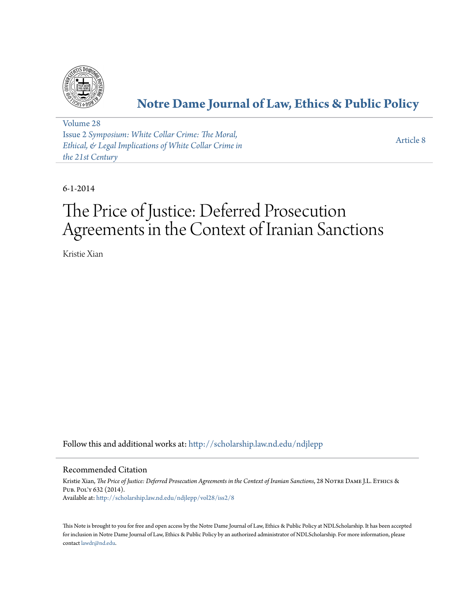

## **[Notre Dame Journal of Law, Ethics & Public Policy](http://scholarship.law.nd.edu/ndjlepp?utm_source=scholarship.law.nd.edu%2Fndjlepp%2Fvol28%2Fiss2%2F8&utm_medium=PDF&utm_campaign=PDFCoverPages)**

[Volume 28](http://scholarship.law.nd.edu/ndjlepp/vol28?utm_source=scholarship.law.nd.edu%2Fndjlepp%2Fvol28%2Fiss2%2F8&utm_medium=PDF&utm_campaign=PDFCoverPages) Issue 2 *[Symposium: White Collar Crime: The Moral,](http://scholarship.law.nd.edu/ndjlepp/vol28/iss2?utm_source=scholarship.law.nd.edu%2Fndjlepp%2Fvol28%2Fiss2%2F8&utm_medium=PDF&utm_campaign=PDFCoverPages) [Ethical, & Legal Implications of White Collar Crime in](http://scholarship.law.nd.edu/ndjlepp/vol28/iss2?utm_source=scholarship.law.nd.edu%2Fndjlepp%2Fvol28%2Fiss2%2F8&utm_medium=PDF&utm_campaign=PDFCoverPages) [the 21st Century](http://scholarship.law.nd.edu/ndjlepp/vol28/iss2?utm_source=scholarship.law.nd.edu%2Fndjlepp%2Fvol28%2Fiss2%2F8&utm_medium=PDF&utm_campaign=PDFCoverPages)*

[Article 8](http://scholarship.law.nd.edu/ndjlepp/vol28/iss2/8?utm_source=scholarship.law.nd.edu%2Fndjlepp%2Fvol28%2Fiss2%2F8&utm_medium=PDF&utm_campaign=PDFCoverPages)

6-1-2014

# The Price of Justice: Deferred Prosecution Agreements in the Context of Iranian Sanctions

Kristie Xian

Follow this and additional works at: [http://scholarship.law.nd.edu/ndjlepp](http://scholarship.law.nd.edu/ndjlepp?utm_source=scholarship.law.nd.edu%2Fndjlepp%2Fvol28%2Fiss2%2F8&utm_medium=PDF&utm_campaign=PDFCoverPages)

#### Recommended Citation

Kristie Xian, *The Price of Justice: Deferred Prosecution Agreements in the Context of Iranian Sanctions*, 28 NOTRE DAME J.L. ETHICS & Pub. Pol'y 632 (2014). Available at: [http://scholarship.law.nd.edu/ndjlepp/vol28/iss2/8](http://scholarship.law.nd.edu/ndjlepp/vol28/iss2/8?utm_source=scholarship.law.nd.edu%2Fndjlepp%2Fvol28%2Fiss2%2F8&utm_medium=PDF&utm_campaign=PDFCoverPages)

This Note is brought to you for free and open access by the Notre Dame Journal of Law, Ethics & Public Policy at NDLScholarship. It has been accepted for inclusion in Notre Dame Journal of Law, Ethics & Public Policy by an authorized administrator of NDLScholarship. For more information, please contact [lawdr@nd.edu.](mailto:lawdr@nd.edu)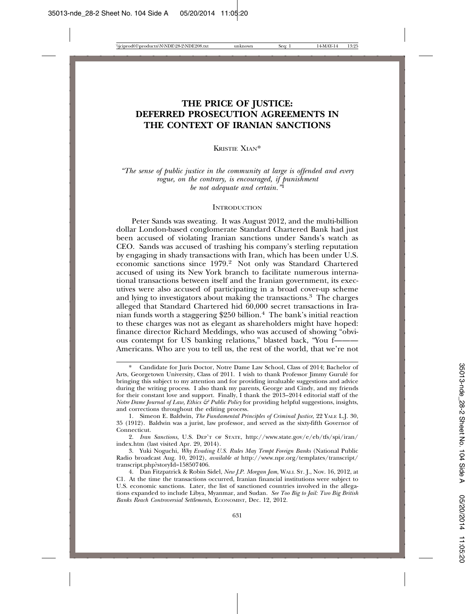### **THE PRICE OF JUSTICE: DEFERRED PROSECUTION AGREEMENTS IN THE CONTEXT OF IRANIAN SANCTIONS**

KRISTIE XIAN\*

*"The sense of public justice in the community at large is offended and every rogue, on the contrary, is encouraged, if punishment be not adequate and certain."*<sup>1</sup>

#### **INTRODUCTION**

Peter Sands was sweating. It was August 2012, and the multi-billion dollar London-based conglomerate Standard Chartered Bank had just been accused of violating Iranian sanctions under Sands's watch as CEO. Sands was accused of trashing his company's sterling reputation by engaging in shady transactions with Iran, which has been under U.S. economic sanctions since 1979.2 Not only was Standard Chartered accused of using its New York branch to facilitate numerous international transactions between itself and the Iranian government, its executives were also accused of participating in a broad cover-up scheme and lying to investigators about making the transactions.3 The charges alleged that Standard Chartered hid 60,000 secret transactions in Iranian funds worth a staggering \$250 billion.4 The bank's initial reaction to these charges was not as elegant as shareholders might have hoped: finance director Richard Meddings, who was accused of showing "obvious contempt for US banking relations," blasted back, "You f-Americans. Who are you to tell us, the rest of the world, that we're not

Candidate for Juris Doctor, Notre Dame Law School, Class of 2014; Bachelor of Arts, Georgetown University, Class of 2011. I wish to thank Professor Jimmy Gurule for ´ bringing this subject to my attention and for providing invaluable suggestions and advice during the writing process. I also thank my parents, George and Cindy, and my friends for their constant love and support. Finally, I thank the  $2013-2014$  editorial staff of the *Notre Dame Journal of Law, Ethics & Public Policy for providing helpful suggestions, insights,* and corrections throughout the editing process.

<sup>1.</sup> Simeon E. Baldwin, *The Fundamental Principles of Criminal Justice*, 22 YALE L.J. 30, 35 (1912). Baldwin was a jurist, law professor, and served as the sixty-fifth Governor of Connecticut.

<sup>2.</sup> *Iran Sanctions*, U.S. DEP'T OF STATE, http://www.state.gov/e/eb/tfs/spi/iran/ index.htm (last visited Apr. 29, 2014).

<sup>3.</sup> Yuki Noguchi, *Why Evading U.S. Rules May Tempt Foreign Banks* (National Public Radio broadcast Aug. 10, 2012), *available at* http://www.npr.org/templates/transcript/ transcript.php?storyId=158507406.

<sup>4.</sup> Dan Fitzpatrick & Robin Sidel, *New J.P. Morgan Jam*, WALL ST. J., Nov. 16, 2012, at C1. At the time the transactions occurred, Iranian financial institutions were subject to U.S. economic sanctions. Later, the list of sanctioned countries involved in the allegations expanded to include Libya, Myanmar, and Sudan. *See Too Big to Jail: Two Big British Banks Reach Controversial Settlements*, ECONOMIST, Dec. 12, 2012.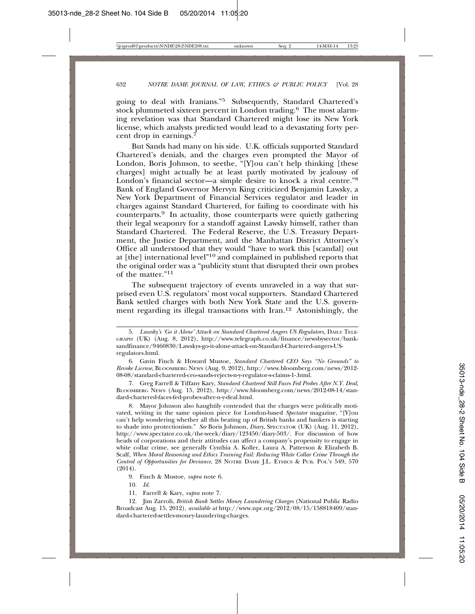going to deal with Iranians."5 Subsequently, Standard Chartered's stock plummeted sixteen percent in London trading.<sup>6</sup> The most alarming revelation was that Standard Chartered might lose its New York license, which analysts predicted would lead to a devastating forty percent drop in earnings.<sup>7</sup>

But Sands had many on his side. U.K. officials supported Standard Chartered's denials, and the charges even prompted the Mayor of London, Boris Johnson, to seethe, "[Y]ou can't help thinking [these charges] might actually be at least partly motivated by jealousy of London's financial sector—a simple desire to knock a rival centre."<sup>8</sup> Bank of England Governor Mervyn King criticized Benjamin Lawsky, a New York Department of Financial Services regulator and leader in charges against Standard Chartered, for failing to coordinate with his counterparts.9 In actuality, those counterparts were quietly gathering their legal weaponry for a standoff against Lawsky himself, rather than Standard Chartered. The Federal Reserve, the U.S. Treasury Department, the Justice Department, and the Manhattan District Attorney's Office all understood that they would "have to work this [scandal] out at [the] international level"10 and complained in published reports that the original order was a "publicity stunt that disrupted their own probes of the matter."11

The subsequent trajectory of events unraveled in a way that surprised even U.S. regulators' most vocal supporters. Standard Chartered Bank settled charges with both New York State and the U.S. government regarding its illegal transactions with Iran.12 Astonishingly, the

7. Greg Farrell & Tiffany Kary, *Standard Chartered Still Faces Fed Probes After N.Y. Deal*, BLOOMBERG NEWS (Aug. 15, 2012), http://www.bloomberg.com/news/2012-08-14/standard-chartered-faces-fed-probes-after-n-y-deal.html.

8. Mayor Johnson also haughtily contended that the charges were politically motivated, writing in the same opinion piece for London-based *Spectator* magazine, "[Y]ou can't help wondering whether all this beating up of British banks and bankers is starting to shade into protectionism." *See* Boris Johnson, *Diary*, SPECTATOR (UK) (Aug. 11, 2012), http://www.spectator.co.uk/the-week/diary/123450/diary-503/. For discussion of how heads of corporations and their attitudes can affect a company's propensity to engage in white collar crime, see generally Cynthia A. Koller, Laura A. Patterson & Elizabeth B. Scalf, *When Moral Reasoning and Ethics Training Fail: Reducing White Collar Crime Through the Control of Opportunities for Deviance*, 28 NOTRE DAME J.L. ETHICS & PUB. POL'Y 549, 570 (2014).

9. Finch & Mustoe, *supra* note 6.

10. *Id.*

11. Farrell & Kary, *supra* note 7.

12. Jim Zarroli, *British Bank Settles Money Laundering Charges* (National Public Radio Broadcast Aug. 15, 2012), *available at* http://www.npr.org/2012/08/15/158818409/standard-chartered-settles-money-laundering-charges.

<sup>5.</sup> *Lawsky's 'Go it Alone' Attack on Standard Chartered Angers US Regulators,* DAILY TELE-GRAPH (UK) (Aug. 8, 2012), http://www.telegraph.co.uk/finance/newsbysector/banksandfinance/9460830/Lawskys-go-it-alone-attack-on-Standard-Chartered-angers-USregulators.html.

<sup>6.</sup> Gavin Finch & Howard Mustoe, *Standard Chartered CEO Says "No Grounds" to Revoke License*, BLOOMBERG NEWS (Aug. 9, 2012), http://www.bloomberg.com/news/2012- 08-08/standard-chartered-ceo-sands-rejects-n-y-regulator-s-claims-1-.html.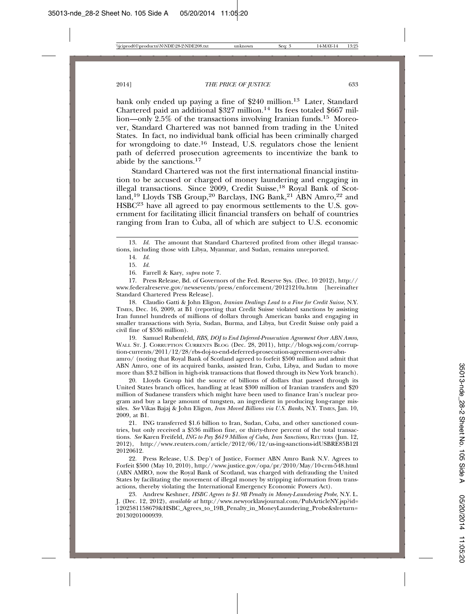bank only ended up paying a fine of \$240 million.<sup>13</sup> Later, Standard Chartered paid an additional \$327 million.14 Its fees totaled \$667 million—only 2.5% of the transactions involving Iranian funds.<sup>15</sup> Moreover, Standard Chartered was not banned from trading in the United States. In fact, no individual bank official has been criminally charged for wrongdoing to date.16 Instead, U.S. regulators chose the lenient path of deferred prosecution agreements to incentivize the bank to abide by the sanctions.<sup>17</sup>

Standard Chartered was not the first international financial institution to be accused or charged of money laundering and engaging in illegal transactions. Since 2009, Credit Suisse,<sup>18</sup> Royal Bank of Scotland,<sup>19</sup> Lloyds TSB Group,<sup>20</sup> Barclays, ING Bank,<sup>21</sup> ABN Amro,<sup>22</sup> and HSBC23 have all agreed to pay enormous settlements to the U.S. government for facilitating illicit financial transfers on behalf of countries ranging from Iran to Cuba, all of which are subject to U.S. economic

17. Press Release, Bd. of Governors of the Fed. Reserve Sys. (Dec. 10 2012), http:// www.federalreserve.gov/newsevents/press/enforcement/20121210a.htm [hereinafter Standard Chartered Press Release].

18. Claudio Gatti & John Eligon, *Iranian Dealings Lead to a Fine for Credit Suisse*, N.Y. TIMES, Dec. 16, 2009, at B1 (reporting that Credit Suisse violated sanctions by assisting Iran funnel hundreds of millions of dollars through American banks and engaging in smaller transactions with Syria, Sudan, Burma, and Libya, but Credit Suisse only paid a civil fine of \$536 million).

19. Samuel Rubenfeld, *RBS, DOJ to End Deferred-Prosecution Agreement Over ABN Amro*, WALL ST. J. CORRUPTION CURRENTS BLOG (Dec. 28, 2011), http://blogs.wsj.com/corruption-currents/2011/12/28/rbs-doj-to-end-deferred-prosecution-agreement-over-abn-

amro/ (noting that Royal Bank of Scotland agreed to forfeit \$500 million and admit that ABN Amro, one of its acquired banks, assisted Iran, Cuba, Libya, and Sudan to move more than \$3.2 billion in high-risk transactions that flowed through its New York branch).

20. Lloyds Group hid the source of billions of dollars that passed through its United States branch offices, handling at least \$300 million of Iranian transfers and \$20 million of Sudanese transfers which might have been used to finance Iran's nuclear program and buy a large amount of tungsten, an ingredient in producing long-range missiles. *See* Vikas Bajaj & John Eligon, *Iran Moved Billions via U.S. Banks*, N.Y. TIMES, Jan. 10, 2009, at B1.

21. ING transferred \$1.6 billion to Iran, Sudan, Cuba, and other sanctioned countries, but only received a \$536 million fine, or thirty-three percent of the total transactions. *See* Karen Freifeld, *ING to Pay \$619 Million of Cuba, Iran Sanctions*, REUTERS (Jun. 12, 2012), http://www.reuters.com/article/2012/06/12/us-ing-sanctions-idUSBRE85B12I 20120612.

22. Press Release, U.S. Dep't of Justice, Former ABN Amro Bank N.V. Agrees to Forfeit \$500 (May 10, 2010), http://www.justice.gov/opa/pr/2010/May/10-crm-548.html (ABN AMRO, now the Royal Bank of Scotland, was charged with defrauding the United States by facilitating the movement of illegal money by stripping information from transactions, thereby violating the International Emergency Economic Powers Act).

23. Andrew Keshner, *HSBC Agrees to \$1.9B Penalty in Money-Laundering Probe*, N.Y. L. J. (Dec. 12, 2012), *available at* http://www.newyorklawjournal.com/PubArticleNY.jsp?id= 1202581158679&HSBC\_Agrees\_to\_19B\_Penalty\_in\_MoneyLaundering\_Probe&slreturn= 20130201000939.

<sup>13.</sup> *Id.* The amount that Standard Chartered profited from other illegal transactions, including those with Libya, Myanmar, and Sudan, remains unreported.

<sup>14.</sup> *Id.*

<sup>15.</sup> *Id.*

<sup>16.</sup> Farrell & Kary, *supra* note 7.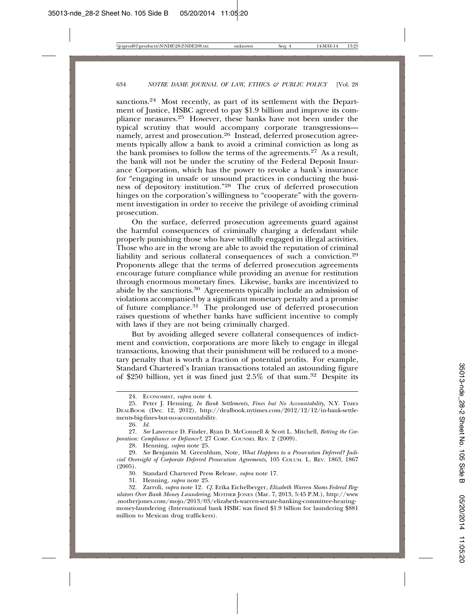sanctions.<sup>24</sup> Most recently, as part of its settlement with the Department of Justice, HSBC agreed to pay \$1.9 billion and improve its compliance measures.25 However, these banks have not been under the typical scrutiny that would accompany corporate transgressions namely, arrest and prosecution.26 Instead, deferred prosecution agreements typically allow a bank to avoid a criminal conviction as long as the bank promises to follow the terms of the agreements.27 As a result, the bank will not be under the scrutiny of the Federal Deposit Insurance Corporation, which has the power to revoke a bank's insurance for "engaging in unsafe or unsound practices in conducting the business of depository institution."28 The crux of deferred prosecution hinges on the corporation's willingness to "cooperate" with the government investigation in order to receive the privilege of avoiding criminal prosecution.

On the surface, deferred prosecution agreements guard against the harmful consequences of criminally charging a defendant while properly punishing those who have willfully engaged in illegal activities. Those who are in the wrong are able to avoid the reputation of criminal liability and serious collateral consequences of such a conviction.29 Proponents allege that the terms of deferred prosecution agreements encourage future compliance while providing an avenue for restitution through enormous monetary fines. Likewise, banks are incentivized to abide by the sanctions.30 Agreements typically include an admission of violations accompanied by a significant monetary penalty and a promise of future compliance.<sup>31</sup> The prolonged use of deferred prosecution raises questions of whether banks have sufficient incentive to comply with laws if they are not being criminally charged.

But by avoiding alleged severe collateral consequences of indictment and conviction, corporations are more likely to engage in illegal transactions, knowing that their punishment will be reduced to a monetary penalty that is worth a fraction of potential profits. For example, Standard Chartered's Iranian transactions totaled an astounding figure of \$250 billion, yet it was fined just 2.5% of that sum.32 Despite its

26. *Id.*

28. Henning, *supra* note 25.

29. *See* Benjamin M. Greenblum, Note, *What Happens to a Prosecution Deferred? Judicial Oversight of Corporate Deferred Prosecution Agreements,* 105 COLUM. L. REV. 1863, 1867 (2005).

30. Standard Chartered Press Release, *supra* note 17.

31. Henning, *supra* note 25.

32. Zarroli, *supra* note 12. *Cf.* Erika Eichelberger, *Elizabeth Warren Slams Federal Regulators Over Bank Money Laundering*, MOTHER JONES (Mar. 7, 2013, 5:45 P.M.), http://www .motherjones.com/mojo/2013/03/elizabeth-warren-senate-banking-committee-hearingmoney-laundering (International bank HSBC was fined \$1.9 billion for laundering \$881 million to Mexican drug traffickers).

<sup>24.</sup> ECONOMIST, *supra* note 4.

<sup>25.</sup> Peter J. Henning, *In Bank Settlements, Fines but No Accountability,* N.Y. TIMES DEALBOOK (Dec. 12, 2012), http://dealbook.nytimes.com/2012/12/12/in-bank-settlements-big-fines-but-no-accountability.

<sup>27.</sup> *See* Lawrence D. Finder, Ryan D. McConnell & Scott L. Mitchell, *Betting the Corporation: Compliance or Defiance?*, 27 CORP. COUNSEL REV. 2 (2009).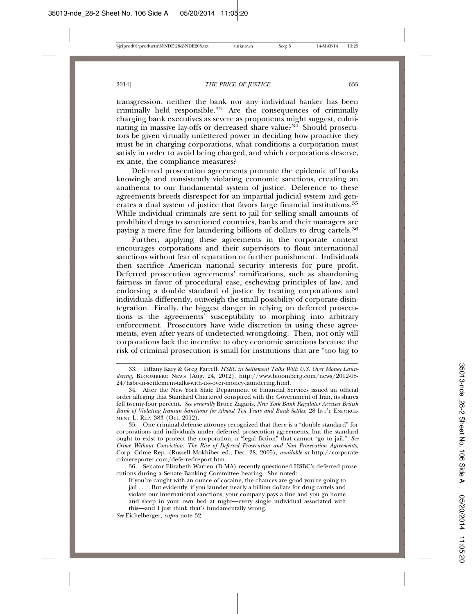transgression, neither the bank nor any individual banker has been criminally held responsible.33 Are the consequences of criminally charging bank executives as severe as proponents might suggest, culminating in massive lay-offs or decreased share value?<sup>34</sup> Should prosecutors be given virtually unfettered power in deciding how proactive they must be in charging corporations, what conditions a corporation must satisfy in order to avoid being charged, and which corporations deserve, ex ante, the compliance measures?

Deferred prosecution agreements promote the epidemic of banks knowingly and consistently violating economic sanctions, creating an anathema to our fundamental system of justice. Deference to these agreements breeds disrespect for an impartial judicial system and generates a dual system of justice that favors large financial institutions.35 While individual criminals are sent to jail for selling small amounts of prohibited drugs to sanctioned countries, banks and their managers are paying a mere fine for laundering billions of dollars to drug cartels.<sup>36</sup>

Further, applying these agreements in the corporate context encourages corporations and their supervisors to flout international sanctions without fear of reparation or further punishment. Individuals then sacrifice American national security interests for pure profit. Deferred prosecution agreements' ramifications, such as abandoning fairness in favor of procedural ease, eschewing principles of law, and endorsing a double standard of justice by treating corporations and individuals differently, outweigh the small possibility of corporate disintegration. Finally, the biggest danger in relying on deferred prosecutions is the agreements' susceptibility to morphing into arbitrary enforcement. Prosecutors have wide discretion in using these agreements, even after years of undetected wrongdoing. Then, not only will corporations lack the incentive to obey economic sanctions because the risk of criminal prosecution is small for institutions that are "too big to

*See* Eichelberger, *supra* note 32.

<sup>33.</sup> Tiffany Kary & Greg Farrell, *HSBC in Settlement Talks With U.S. Over Money Laundering,* BLOOMBERG NEWS (Aug. 24, 2012), http://www.bloomberg.com/news/2012-08- 24/hsbc-in-settlement-talks-with-u-s-over-money-laundering.html.

<sup>34.</sup> After the New York State Department of Financial Services issued an official order alleging that Standard Chartered conspired with the Government of Iran, its shares fell twenty-four percent. *See generally* Bruce Zagaris, *New York Bank Regulator Accuses British Bank of Violating Iranian Sanctions for Almost Ten Years and Bank Settles*, 28 INT'L ENFORCE-MENT L. REP. 383 (Oct. 2012).

<sup>35.</sup> One criminal defense attorney recognized that there is a "double standard" for corporations and individuals under deferred prosecution agreements, but the standard ought to exist to protect the corporation, a "legal fiction" that cannot "go to jail." *See Crime Without Conviction: The Rise of Deferred Prosecution and Non Prosecution Agreements*, Corp. Crime Rep. (Russell Mokhiber ed., Dec. 28, 2005), *available at* http://corporate crimereporter.com/deferredreport.htm.

<sup>36.</sup> Senator Elizabeth Warren (D-MA) recently questioned HSBC's deferred prosecutions during a Senate Banking Committee hearing. She noted:

If you're caught with an ounce of cocaine, the chances are good you're going to jail . . . . But evidently, if you launder nearly a billion dollars for drug cartels and violate our international sanctions, your company pays a fine and you go home and sleep in your own bed at night—every single individual associated with this—and I just think that's fundamentally wrong.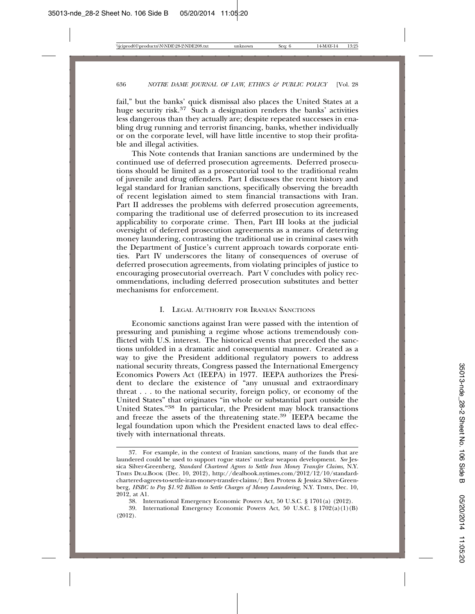fail," but the banks' quick dismissal also places the United States at a huge security risk.<sup>37</sup> Such a designation renders the banks' activities less dangerous than they actually are; despite repeated successes in enabling drug running and terrorist financing, banks, whether individually or on the corporate level, will have little incentive to stop their profitable and illegal activities.

This Note contends that Iranian sanctions are undermined by the continued use of deferred prosecution agreements. Deferred prosecutions should be limited as a prosecutorial tool to the traditional realm of juvenile and drug offenders. Part I discusses the recent history and legal standard for Iranian sanctions, specifically observing the breadth of recent legislation aimed to stem financial transactions with Iran. Part II addresses the problems with deferred prosecution agreements, comparing the traditional use of deferred prosecution to its increased applicability to corporate crime. Then, Part III looks at the judicial oversight of deferred prosecution agreements as a means of deterring money laundering, contrasting the traditional use in criminal cases with the Department of Justice's current approach towards corporate entities. Part IV underscores the litany of consequences of overuse of deferred prosecution agreements, from violating principles of justice to encouraging prosecutorial overreach. Part V concludes with policy recommendations, including deferred prosecution substitutes and better mechanisms for enforcement.

#### I. LEGAL AUTHORITY FOR IRANIAN SANCTIONS

Economic sanctions against Iran were passed with the intention of pressuring and punishing a regime whose actions tremendously conflicted with U.S. interest. The historical events that preceded the sanctions unfolded in a dramatic and consequential manner. Created as a way to give the President additional regulatory powers to address national security threats, Congress passed the International Emergency Economics Powers Act (IEEPA) in 1977. IEEPA authorizes the President to declare the existence of "any unusual and extraordinary threat . . . to the national security, foreign policy, or economy of the United States" that originates "in whole or substantial part outside the United States."38 In particular, the President may block transactions and freeze the assets of the threatening state.<sup>39</sup> IEEPA became the legal foundation upon which the President enacted laws to deal effectively with international threats.

<sup>37.</sup> For example, in the context of Iranian sanctions, many of the funds that are laundered could be used to support rogue states' nuclear weapon development. *See* Jessica Silver-Greenberg, *Standard Chartered Agrees to Settle Iran Money Transfer Claims*, N.Y. TIMES DEALBOOK (Dec. 10, 2012), http://dealbook.nytimes.com/2012/12/10/standardchartered-agrees-to-settle-iran-money-transfer-claims/; Ben Protess & Jessica Silver-Greenberg, *HSBC to Pay \$1.92 Billion to Settle Charges of Money Laundering*, N.Y. TIMES, Dec. 10, 2012, at A1.

<sup>38.</sup> International Emergency Economic Powers Act, 50 U.S.C. § 1701(a) (2012).

<sup>39.</sup> International Emergency Economic Powers Act, 50 U.S.C. § 1702(a)(1)(B) (2012).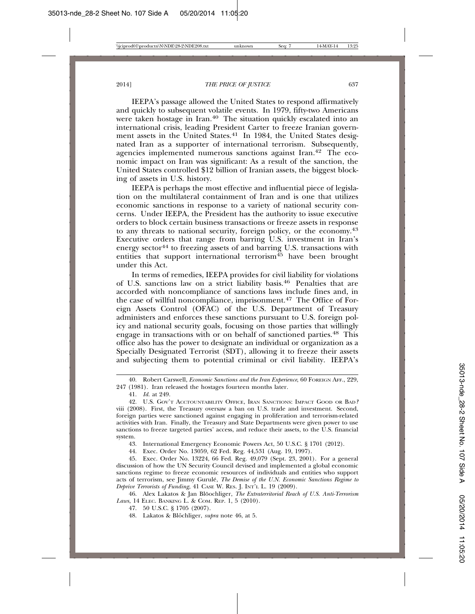IEEPA's passage allowed the United States to respond affirmatively and quickly to subsequent volatile events. In 1979, fifty-two Americans were taken hostage in Iran.<sup>40</sup> The situation quickly escalated into an international crisis, leading President Carter to freeze Iranian government assets in the United States.<sup>41</sup> In 1984, the United States designated Iran as a supporter of international terrorism. Subsequently, agencies implemented numerous sanctions against Iran.42 The economic impact on Iran was significant: As a result of the sanction, the United States controlled \$12 billion of Iranian assets, the biggest blocking of assets in U.S. history.

IEEPA is perhaps the most effective and influential piece of legislation on the multilateral containment of Iran and is one that utilizes economic sanctions in response to a variety of national security concerns. Under IEEPA, the President has the authority to issue executive orders to block certain business transactions or freeze assets in response to any threats to national security, foreign policy, or the economy.43 Executive orders that range from barring U.S. investment in Iran's energy sector $44$  to freezing assets of and barring U.S. transactions with entities that support international terrorism $45$  have been brought under this Act.

In terms of remedies, IEEPA provides for civil liability for violations of U.S. sanctions law on a strict liability basis.46 Penalties that are accorded with noncompliance of sanctions laws include fines and, in the case of willful noncompliance, imprisonment.<sup>47</sup> The Office of Foreign Assets Control (OFAC) of the U.S. Department of Treasury administers and enforces these sanctions pursuant to U.S. foreign policy and national security goals, focusing on those parties that willingly engage in transactions with or on behalf of sanctioned parties.48 This office also has the power to designate an individual or organization as a Specially Designated Terrorist (SDT), allowing it to freeze their assets and subjecting them to potential criminal or civil liability. IEEPA's

41. *Id.* at 249.

43. International Emergency Economic Powers Act, 50 U.S.C. § 1701 (2012).

44. Exec. Order No. 13059, 62 Fed. Reg. 44,531 (Aug. 19, 1997).

<sup>40.</sup> Robert Carswell, *Economic Sanctions and the Iran Experience*, 60 FOREIGN AFF., 229, 247 (1981). Iran released the hostages fourteen months later.

<sup>42.</sup> U.S. GOV'T ACCTOUNTABILITY OFFICE, IRAN SANCTIONS: IMPACT GOOD OR BAD*?* viii (2008). First, the Treasury oversaw a ban on U.S. trade and investment. Second, foreign parties were sanctioned against engaging in proliferation and terrorism-related activities with Iran. Finally, the Treasury and State Departments were given power to use sanctions to freeze targeted parties' access, and reduce their assets, to the U.S. financial system.

<sup>45.</sup> Exec. Order No. 13224, 66 Fed. Reg. 49,079 (Sept. 23, 2001). For a general discussion of how the UN Security Council devised and implemented a global economic sanctions regime to freeze economic resources of individuals and entities who support acts of terrorism, see Jimmy Gurule,´ *The Demise of the U.N. Economic Sanctions Regime to Deprive Terrorists of Funding*, 41 CASE W. RES. J. INT'L L. 19 (2009).

<sup>46.</sup> Alex Lakatos & Jan Blöochliger, *The Extraterritorial Reach of U.S. Anti-Terrorism Laws*, 14 ELEC. BANKING L. & COM. REP. 1, 5 (2010).

<sup>47. 50</sup> U.S.C. § 1705 (2007).

<sup>48.</sup> Lakatos & Blöchliger, *supra* note 46, at 5.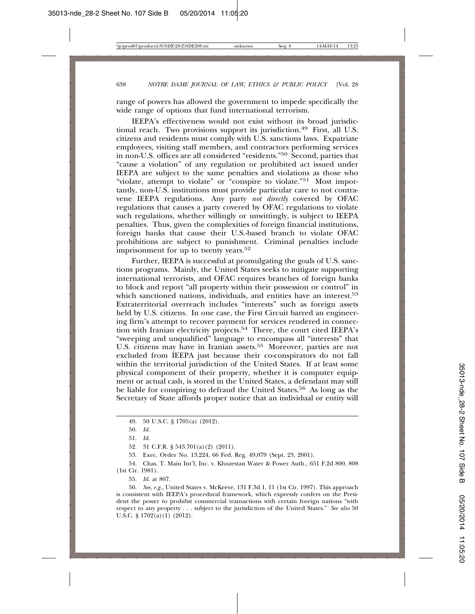range of powers has allowed the government to impede specifically the wide range of options that fund international terrorism.

IEEPA's effectiveness would not exist without its broad jurisdictional reach. Two provisions support its jurisdiction.<sup>49</sup> First, all U.S. citizens and residents must comply with U.S. sanctions laws. Expatriate employees, visiting staff members, and contractors performing services in non-U.S. offices are all considered "residents."50 Second, parties that "cause a violation" of any regulation or prohibited act issued under IEEPA are subject to the same penalties and violations as those who "violate, attempt to violate" or "conspire to violate."<sup>51</sup> Most importantly, non-U.S. institutions must provide particular care to not contravene IEEPA regulations. Any party *not directly* covered by OFAC regulations that causes a party covered by OFAC regulations to violate such regulations, whether willingly or unwittingly, is subject to IEEPA penalties. Thus, given the complexities of foreign financial institutions, foreign banks that cause their U.S.-based branch to violate OFAC prohibitions are subject to punishment. Criminal penalties include imprisonment for up to twenty years.<sup>52</sup>

Further, IEEPA is successful at promulgating the goals of U.S. sanctions programs. Mainly, the United States seeks to mitigate supporting international terrorists, and OFAC requires branches of foreign banks to block and report "all property within their possession or control" in which sanctioned nations, individuals, and entities have an interest.<sup>53</sup> Extraterritorial overreach includes "interests" such as foreign assets held by U.S. citizens. In one case, the First Circuit barred an engineering firm's attempt to recover payment for services rendered in connection with Iranian electricity projects.<sup>54</sup> There, the court cited IEEPA's "sweeping and unqualified" language to encompass all "interests" that U.S. citizens may have in Iranian assets.<sup>55</sup> Moreover, parties are not excluded from IEEPA just because their co-conspirators do not fall within the territorial jurisdiction of the United States. If at least some physical component of their property, whether it is computer equipment or actual cash, is stored in the United States, a defendant may still be liable for conspiring to defraud the United States.56 As long as the Secretary of State affords proper notice that an individual or entity will

52. 31 C.F.R. § 543.701(a)(2) (2011).

53. Exec. Order No. 13,224, 66 Fed. Reg. 49,079 (Sept. 23, 2001).

54. Chas. T. Main Int'l, Inc. v. Khuzestan Water & Power Auth*.*, 651 F.2d 800, 808 (1st Cir. 1981).

55. *Id.* at 807.

56. *See, e.g.,* United States v. McKeeve, 131 F.3d 1, 11 (1st Cir. 1997). This approach is consistent with IEEPA's procedural framework, which expressly confers on the President the power to prohibit commercial transactions with certain foreign nations "with respect to any property . . . subject to the jurisdiction of the United States." *See also* 50 U.S.C. § 1702(a)(1) (2012).

<sup>49. 50</sup> U.S.C. § 1705(a) (2012).

<sup>50.</sup> *Id.*

<sup>51.</sup> *Id.*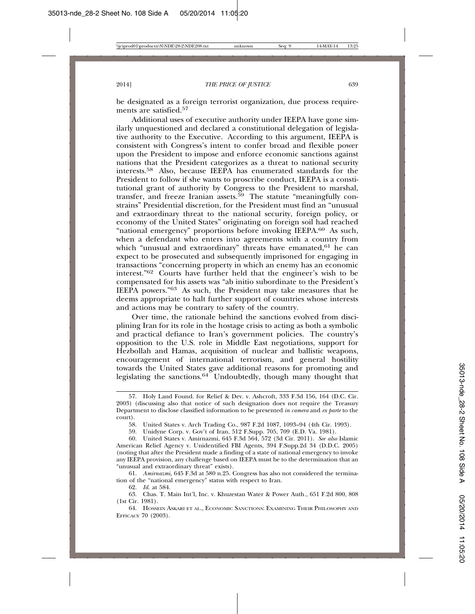be designated as a foreign terrorist organization, due process requirements are satisfied.57

Additional uses of executive authority under IEEPA have gone similarly unquestioned and declared a constitutional delegation of legislative authority to the Executive. According to this argument, IEEPA is consistent with Congress's intent to confer broad and flexible power upon the President to impose and enforce economic sanctions against nations that the President categorizes as a threat to national security interests.58 Also, because IEEPA has enumerated standards for the President to follow if she wants to proscribe conduct, IEEPA is a constitutional grant of authority by Congress to the President to marshal, transfer, and freeze Iranian assets.<sup>59</sup> The statute "meaningfully constrains" Presidential discretion, for the President must find an "unusual and extraordinary threat to the national security, foreign policy, or economy of the United States" originating on foreign soil had reached "national emergency" proportions before invoking IEEPA.<sup>60</sup> As such, when a defendant who enters into agreements with a country from which "unusual and extraordinary" threats have emanated,  $61$  he can expect to be prosecuted and subsequently imprisoned for engaging in transactions "concerning property in which an enemy has an economic interest."62 Courts have further held that the engineer's wish to be compensated for his assets was "ab initio subordinate to the President's IEEPA powers."63 As such, the President may take measures that he deems appropriate to halt further support of countries whose interests and actions may be contrary to safety of the country.

Over time, the rationale behind the sanctions evolved from disciplining Iran for its role in the hostage crisis to acting as both a symbolic and practical defiance to Iran's government policies. The country's opposition to the U.S. role in Middle East negotiations, support for Hezbollah and Hamas, acquisition of nuclear and ballistic weapons, encouragement of international terrorism, and general hostility towards the United States gave additional reasons for promoting and legislating the sanctions.<sup>64</sup> Undoubtedly, though many thought that

61. *Amirnazmi,* 645 F.3d at 580 n.25. Congress has also not considered the termination of the "national emergency" status with respect to Iran.

62. *Id.* at 584.

<sup>57.</sup> Holy Land Found. for Relief & Dev. v. Ashcroft, 333 F.3d 156, 164 (D.C. Cir. 2003) (discussing also that notice of such designation does not require the Treasury Department to disclose classified information to be presented *in camera* and *ex parte* to the court).

<sup>58.</sup> United States v. Arch Trading Co., 987 F.2d 1087, 1093–94 (4th Cir. 1993).

<sup>59.</sup> Unidyne Corp. v. Gov't of Iran, 512 F.Supp. 705, 709 (E.D. Va. 1981).

<sup>60.</sup> United States v. Amirnazmi, 645 F.3d 564, 572 (3d Cir. 2011). *See also* Islamic American Relief Agency v. Unidentified FBI Agents, 394 F.Supp.2d 34 (D.D.C. 2005) (noting that after the President made a finding of a state of national emergency to invoke any IEEPA provision, any challenge based on IEEPA must be to the determination that an "unusual and extraordinary threat" exists).

<sup>63.</sup> Chas. T. Main Int'l, Inc. v. Khuzestan Water & Power Auth*.*, 651 F.2d 800, 808 (1st Cir. 1981).

<sup>64.</sup> HOSSEIN ASKARI ET AL., ECONOMIC SANCTIONS: EXAMINING THEIR PHILOSOPHY AND EFFICACY 70 (2003).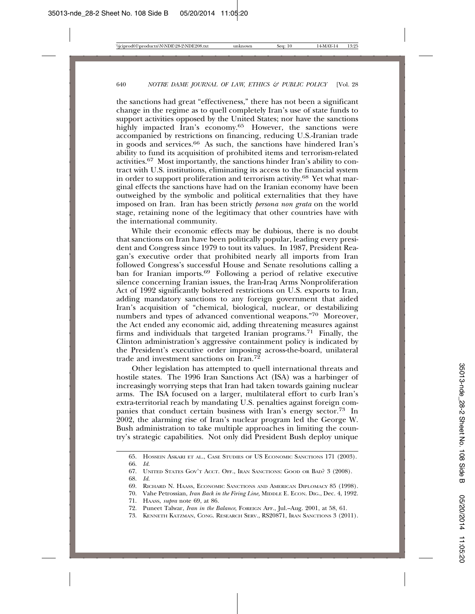the sanctions had great "effectiveness," there has not been a significant change in the regime as to quell completely Iran's use of state funds to support activities opposed by the United States; nor have the sanctions highly impacted Iran's economy.<sup>65</sup> However, the sanctions were accompanied by restrictions on financing, reducing U.S.-Iranian trade in goods and services.66 As such, the sanctions have hindered Iran's ability to fund its acquisition of prohibited items and terrorism-related activities.67 Most importantly, the sanctions hinder Iran's ability to contract with U.S. institutions, eliminating its access to the financial system in order to support proliferation and terrorism activity.68 Yet what marginal effects the sanctions have had on the Iranian economy have been outweighed by the symbolic and political externalities that they have imposed on Iran. Iran has been strictly *persona non grata* on the world stage, retaining none of the legitimacy that other countries have with the international community.

While their economic effects may be dubious, there is no doubt that sanctions on Iran have been politically popular, leading every president and Congress since 1979 to tout its values. In 1987, President Reagan's executive order that prohibited nearly all imports from Iran followed Congress's successful House and Senate resolutions calling a ban for Iranian imports.69 Following a period of relative executive silence concerning Iranian issues, the Iran-Iraq Arms Nonproliferation Act of 1992 significantly bolstered restrictions on U.S. exports to Iran, adding mandatory sanctions to any foreign government that aided Iran's acquisition of "chemical, biological, nuclear, or destabilizing numbers and types of advanced conventional weapons."70 Moreover, the Act ended any economic aid, adding threatening measures against firms and individuals that targeted Iranian programs.71 Finally, the Clinton administration's aggressive containment policy is indicated by the President's executive order imposing across-the-board, unilateral trade and investment sanctions on  $\overline{I}$ ran.<sup>72</sup>

Other legislation has attempted to quell international threats and hostile states. The 1996 Iran Sanctions Act (ISA) was a harbinger of increasingly worrying steps that Iran had taken towards gaining nuclear arms. The ISA focused on a larger, multilateral effort to curb Iran's extra-territorial reach by mandating U.S. penalties against foreign companies that conduct certain business with Iran's energy sector.73 In 2002, the alarming rise of Iran's nuclear program led the George W. Bush administration to take multiple approaches in limiting the country's strategic capabilities. Not only did President Bush deploy unique

73. KENNETH KATZMAN, CONG. RESEARCH SERV., RS20871, IRAN SANCTIONS 3 (2011).

<sup>65.</sup> HOSSEIN ASKARI ET AL., CASE STUDIES OF US ECONOMIC SANCTIONS 171 (2003). 66. *Id.*

<sup>67.</sup> UNITED STATES GOV'T ACCT. OFF., IRAN SANCTIONS: GOOD OR BAD? 3 (2008).

<sup>68.</sup> *Id.*

<sup>69.</sup> RICHARD N. HAASS, ECONOMIC SANCTIONS AND AMERICAN DIPLOMACY 85 (1998).

<sup>70.</sup> Vahe Petrossian, *Iran Back in the Firing Line,* MIDDLE E. ECON. DIG., Dec. 4, 1992.

<sup>71.</sup> HAASS, *supra* note 69, at 86.

<sup>72.</sup> Puneet Talwar, *Iran in the Balance*, FOREIGN AFF., Jul.–Aug. 2001, at 58, 61.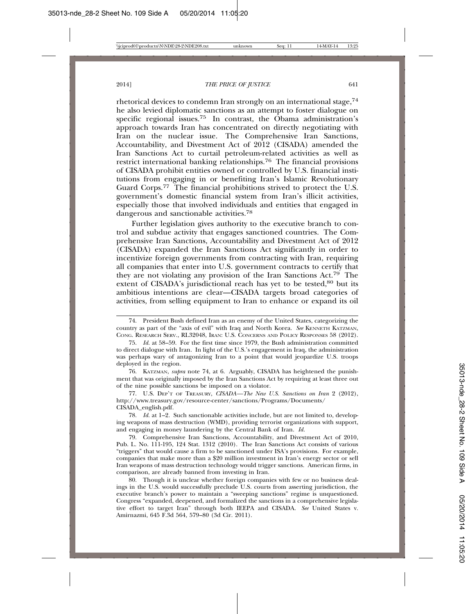rhetorical devices to condemn Iran strongly on an international stage,74 he also levied diplomatic sanctions as an attempt to foster dialogue on specific regional issues.<sup>75</sup> In contrast, the Obama administration's approach towards Iran has concentrated on directly negotiating with Iran on the nuclear issue. The Comprehensive Iran Sanctions, Accountability, and Divestment Act of 2012 (CISADA) amended the Iran Sanctions Act to curtail petroleum-related activities as well as restrict international banking relationships.76 The financial provisions of CISADA prohibit entities owned or controlled by U.S. financial institutions from engaging in or benefiting Iran's Islamic Revolutionary Guard Corps.<sup>77</sup> The financial prohibitions strived to protect the U.S. government's domestic financial system from Iran's illicit activities, especially those that involved individuals and entities that engaged in dangerous and sanctionable activities.78

Further legislation gives authority to the executive branch to control and subdue activity that engages sanctioned countries. The Comprehensive Iran Sanctions, Accountability and Divestment Act of 2012 (CISADA) expanded the Iran Sanctions Act significantly in order to incentivize foreign governments from contracting with Iran, requiring all companies that enter into U.S. government contracts to certify that they are not violating any provision of the Iran Sanctions Act.<sup>79</sup> The extent of CISADA's jurisdictional reach has yet to be tested,<sup>80</sup> but its ambitious intentions are clear—CISADA targets broad categories of activities, from selling equipment to Iran to enhance or expand its oil

76. KATZMAN, *supra* note 74, at 6. Arguably, CISADA has heightened the punishment that was originally imposed by the Iran Sanctions Act by requiring at least three out of the nine possible sanctions be imposed on a violator.

77. U.S. DEP'T OF TREASURY, *CISADA—The New U.S. Sanctions on Iran* 2 (2012), http://www.treasury.gov/resource-center/sanctions/Programs/Documents/ CISADA\_english.pdf*.*

78. *Id.* at 1–2. Such sanctionable activities include, but are not limited to, developing weapons of mass destruction (WMD), providing terrorist organizations with support, and engaging in money laundering by the Central Bank of Iran. *Id.*

79. Comprehensive Iran Sanctions, Accountability, and Divestment Act of 2010, Pub. L. No. 111-195, 124 Stat. 1312 (2010). The Iran Sanctions Act consists of various "triggers" that would cause a firm to be sanctioned under ISA's provisions. For example, companies that make more than a \$20 million investment in Iran's energy sector or sell Iran weapons of mass destruction technology would trigger sanctions. American firms, in comparison, are already banned from investing in Iran.

80. Though it is unclear whether foreign companies with few or no business dealings in the U.S. would successfully preclude U.S. courts from asserting jurisdiction, the executive branch's power to maintain a "sweeping sanctions" regime is unquestioned. Congress "expanded, deepened, and formalized the sanctions in a comprehensive legislative effort to target Iran" through both IEEPA and CISADA. *See* United States v. Amirnazmi, 645 F.3d 564, 579–80 (3d Cir. 2011).

<sup>74.</sup> President Bush defined Iran as an enemy of the United States, categorizing the country as part of the "axis of evil" with Iraq and North Korea. *See* KENNETH KATZMAN, CONG. RESEARCH SERV., RL32048, IRAN: U.S. CONCERNS AND POLICY RESPONSES 58 (2012).

<sup>75.</sup> *Id.* at 58–59. For the first time since 1979, the Bush administration committed to direct dialogue with Iran. In light of the U.S.'s engagement in Iraq, the administration was perhaps wary of antagonizing Iran to a point that would jeopardize U.S. troops deployed in the region.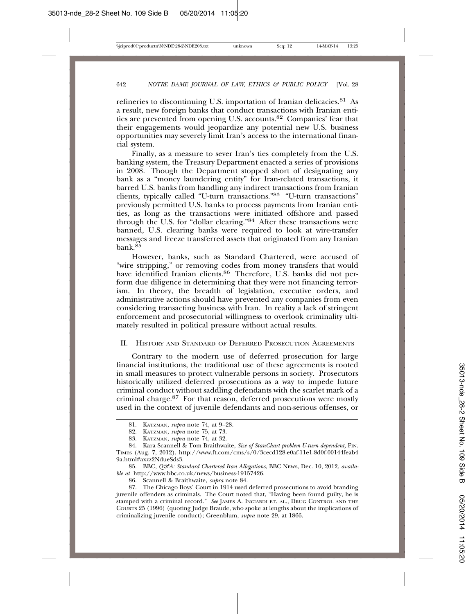refineries to discontinuing U.S. importation of Iranian delicacies.81 As a result, new foreign banks that conduct transactions with Iranian entities are prevented from opening U.S. accounts.82 Companies' fear that their engagements would jeopardize any potential new U.S. business opportunities may severely limit Iran's access to the international financial system.

Finally, as a measure to sever Iran's ties completely from the U.S. banking system, the Treasury Department enacted a series of provisions in 2008. Though the Department stopped short of designating any bank as a "money laundering entity" for Iran-related transactions, it barred U.S. banks from handling any indirect transactions from Iranian clients, typically called "U-turn transactions."83 "U-turn transactions" previously permitted U.S. banks to process payments from Iranian entities, as long as the transactions were initiated offshore and passed through the U.S. for "dollar clearing."84 After these transactions were banned, U.S. clearing banks were required to look at wire-transfer messages and freeze transferred assets that originated from any Iranian  $hank$ <sup>85</sup>

However, banks, such as Standard Chartered, were accused of "wire stripping," or removing codes from money transfers that would have identified Iranian clients.<sup>86</sup> Therefore, U.S. banks did not perform due diligence in determining that they were not financing terrorism. In theory, the breadth of legislation, executive orders, and administrative actions should have prevented any companies from even considering transacting business with Iran. In reality a lack of stringent enforcement and prosecutorial willingness to overlook criminality ultimately resulted in political pressure without actual results.

#### II. HISTORY AND STANDARD OF DEFERRED PROSECUTION AGREEMENTS

Contrary to the modern use of deferred prosecution for large financial institutions, the traditional use of these agreements is rooted in small measures to protect vulnerable persons in society. Prosecutors historically utilized deferred prosecutions as a way to impede future criminal conduct without saddling defendants with the scarlet mark of a criminal charge.87 For that reason, deferred prosecutions were mostly used in the context of juvenile defendants and non-serious offenses, or

<sup>81.</sup> KATZMAN, *supra* note 74, at 9–28.

<sup>82.</sup> KATZMAN, *supra* note 75, at 73.

<sup>83.</sup> KATZMAN, *supra* note 74, at 32.

<sup>84.</sup> Kara Scannell & Tom Braithwaite, *Size of StanChart problem U-turn dependent*, FIN. TIMES (Aug. 7, 2012), http://www.ft.com/cms/s/0/3cecd128-e0af-11e1-8d0f-00144feab4 9a.html#axzz2NdueSds3.

<sup>85.</sup> BBC,  $Q\mathcal{G}$ A: Standard Chartered Iran Allegations, BBC News, Dec. 10, 2012, *available at* http://www.bbc.co.uk/news/business-19157426.

<sup>86.</sup> Scannell & Braithwaite, *supra* note 84.

<sup>87.</sup> The Chicago Boys' Court in 1914 used deferred prosecutions to avoid branding juvenile offenders as criminals. The Court noted that, "Having been found guilty, he is stamped with a criminal record." *See* JAMES A. INCIARDI ET. AL., DRUG CONTROL AND THE COURTS 25 (1996) (quoting Judge Braude, who spoke at lengths about the implications of criminalizing juvenile conduct); Greenblum, *supra* note 29, at 1866.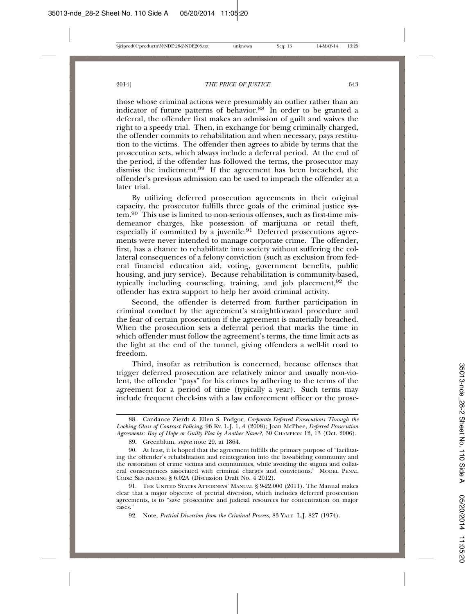2014] *THE PRICE OF JUSTICE* 643

those whose criminal actions were presumably an outlier rather than an indicator of future patterns of behavior.<sup>88</sup> In order to be granted a deferral, the offender first makes an admission of guilt and waives the right to a speedy trial. Then, in exchange for being criminally charged, the offender commits to rehabilitation and when necessary, pays restitution to the victims. The offender then agrees to abide by terms that the prosecution sets, which always include a deferral period. At the end of the period, if the offender has followed the terms, the prosecutor may dismiss the indictment.<sup>89</sup> If the agreement has been breached, the offender's previous admission can be used to impeach the offender at a later trial.

By utilizing deferred prosecution agreements in their original capacity, the prosecutor fulfills three goals of the criminal justice system.90 This use is limited to non-serious offenses, such as first-time misdemeanor charges, like possession of marijuana or retail theft, especially if committed by a juvenile.<sup>91</sup> Deferred prosecutions agreements were never intended to manage corporate crime. The offender, first, has a chance to rehabilitate into society without suffering the collateral consequences of a felony conviction (such as exclusion from federal financial education aid, voting, government benefits, public housing, and jury service). Because rehabilitation is community-based, typically including counseling, training, and job placement,  $92$  the offender has extra support to help her avoid criminal activity.

Second, the offender is deterred from further participation in criminal conduct by the agreement's straightforward procedure and the fear of certain prosecution if the agreement is materially breached. When the prosecution sets a deferral period that marks the time in which offender must follow the agreement's terms, the time limit acts as the light at the end of the tunnel, giving offenders a well-lit road to freedom.

Third, insofar as retribution is concerned, because offenses that trigger deferred prosecution are relatively minor and usually non-violent, the offender "pays" for his crimes by adhering to the terms of the agreement for a period of time (typically a year). Such terms may include frequent check-ins with a law enforcement officer or the prose-

<sup>88.</sup> Candance Zierdt & Ellen S. Podgor, *Corporate Deferred Prosecutions Through the Looking Glass of Contract Policing*, 96 KY. L.J. 1, 4 (2008); Joan McPhee, *Deferred Prosecution Agreements: Ray of Hope or Guilty Plea by Another Name?*, 30 CHAMPION 12, 13 (Oct. 2006).

<sup>89.</sup> Greenblum, *supra* note 29, at 1864.

<sup>90.</sup> At least, it is hoped that the agreement fulfills the primary purpose of "facilitating the offender's rehabilitation and reintegration into the law-abiding community and the restoration of crime victims and communities, while avoiding the stigma and collateral consequences associated with criminal charges and convictions." MODEL PENAL CODE: SENTENCING § 6.02A (Discussion Draft No. 4 2012).

<sup>91.</sup> THE UNITED STATES ATTORNEYS' MANUAL § 9-22.000 (2011). The Manual makes clear that a major objective of pretrial diversion, which includes deferred prosecution agreements, is to "save prosecutive and judicial resources for concentration on major cases."

<sup>92.</sup> Note, *Pretrial Diversion from the Criminal Process*, 83 YALE L.J. 827 (1974).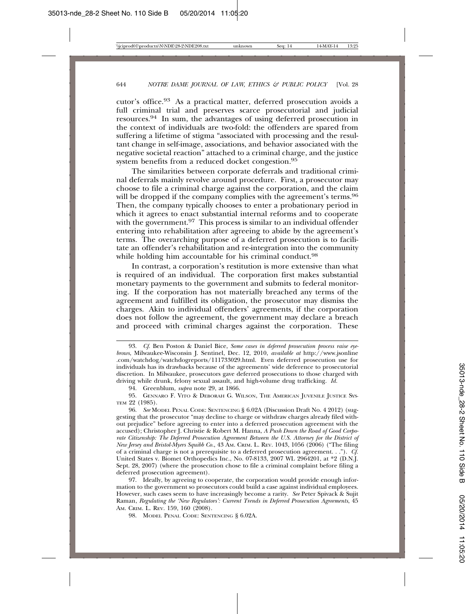cutor's office.93 As a practical matter, deferred prosecution avoids a full criminal trial and preserves scarce prosecutorial and judicial resources.94 In sum, the advantages of using deferred prosecution in the context of individuals are two-fold: the offenders are spared from suffering a lifetime of stigma "associated with processing and the resultant change in self-image, associations, and behavior associated with the negative societal reaction" attached to a criminal charge, and the justice system benefits from a reduced docket congestion.<sup>95</sup>

The similarities between corporate deferrals and traditional criminal deferrals mainly revolve around procedure. First, a prosecutor may choose to file a criminal charge against the corporation, and the claim will be dropped if the company complies with the agreement's terms.<sup>96</sup> Then, the company typically chooses to enter a probationary period in which it agrees to enact substantial internal reforms and to cooperate with the government.<sup>97</sup> This process is similar to an individual offender entering into rehabilitation after agreeing to abide by the agreement's terms. The overarching purpose of a deferred prosecution is to facilitate an offender's rehabilitation and re-integration into the community while holding him accountable for his criminal conduct.<sup>98</sup>

In contrast, a corporation's restitution is more extensive than what is required of an individual. The corporation first makes substantial monetary payments to the government and submits to federal monitoring. If the corporation has not materially breached any terms of the agreement and fulfilled its obligation, the prosecutor may dismiss the charges. Akin to individual offenders' agreements, if the corporation does not follow the agreement, the government may declare a breach and proceed with criminal charges against the corporation. These

97. Ideally, by agreeing to cooperate, the corporation would provide enough information to the government so prosecutors could build a case against individual employees. However, such cases seem to have increasingly become a rarity. *See* Peter Spivack & Sujit Raman, *Regulating the 'New Regulators': Current Trends in Deferred Prosecution Agreements*, 45 AM. CRIM. L. REV. 159, 160 (2008).

98. MODEL PENAL CODE: SENTENCING § 6.02A.

<sup>93.</sup> *Cf.* Ben Poston & Daniel Bice, *Some cases in deferred prosecution process raise eyebrows*, Milwaukee-Wisconsin J. Sentinel, Dec. 12, 2010, *available at* http://www.jsonline .com/watchdog/watchdogreports/111733029.html. Even deferred prosecution use for individuals has its drawbacks because of the agreements' wide deference to prosecutorial discretion. In Milwaukee, prosecutors gave deferred prosecutions to those charged with driving while drunk, felony sexual assault, and high-volume drug trafficking. *Id.*

<sup>94.</sup> Greenblum, *supra* note 29, at 1866.

<sup>95.</sup> GENNARO F. VITO & DEBORAH G. WILSON, THE AMERICAN JUVENILE JUSTICE SYS-TEM 22 (1985).

<sup>96.</sup> *See* MODEL PENAL CODE: SENTENCING § 6.02A (Discussion Draft No. 4 2012) (suggesting that the prosecutor "may decline to charge or withdraw charges already filed without prejudice" before agreeing to enter into a deferred prosecution agreement with the accused); Christopher J. Christie & Robert M. Hanna, *A Push Down the Road of Good Corporate Citizenship: The Deferred Prosecution Agreement Between the U.S. Attorney for the District of New Jersey and Bristol-Myers Squibb Co.*, 43 AM. CRIM. L. REV. 1043, 1056 (2006) ("The filing of a criminal charge is not a prerequisite to a deferred prosecution agreement. . ."). *Cf.* United States v. Biomet Orthopedics Inc., No. 07-8133, 2007 WL 2964201, at \*2 (D.N.J. Sept. 28, 2007) (where the prosecution chose to file a criminal complaint before filing a deferred prosecution agreement).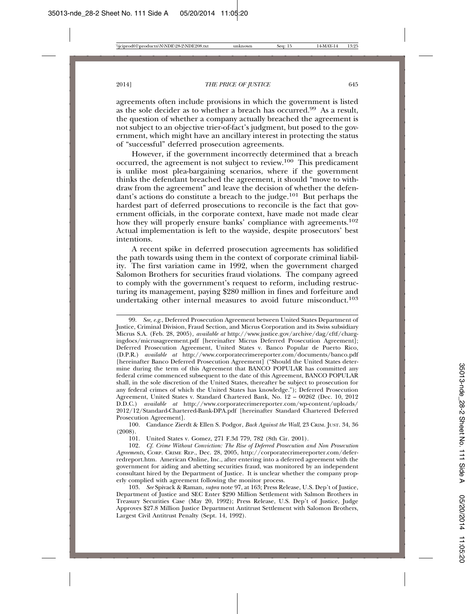agreements often include provisions in which the government is listed as the sole decider as to whether a breach has occurred.<sup>99</sup> As a result, the question of whether a company actually breached the agreement is not subject to an objective trier-of-fact's judgment, but posed to the government, which might have an ancillary interest in protecting the status of "successful" deferred prosecution agreements.

However, if the government incorrectly determined that a breach occurred, the agreement is not subject to review.100 This predicament is unlike most plea-bargaining scenarios, where if the government thinks the defendant breached the agreement, it should "move to withdraw from the agreement" and leave the decision of whether the defendant's actions do constitute a breach to the judge.101 But perhaps the hardest part of deferred prosecutions to reconcile is the fact that government officials, in the corporate context, have made not made clear how they will properly ensure banks' compliance with agreements.<sup>102</sup> Actual implementation is left to the wayside, despite prosecutors' best intentions.

A recent spike in deferred prosecution agreements has solidified the path towards using them in the context of corporate criminal liability. The first variation came in 1992, when the government charged Salomon Brothers for securities fraud violations. The company agreed to comply with the government's request to reform, including restructuring its management, paying \$280 million in fines and forfeiture and undertaking other internal measures to avoid future misconduct.103

100. Candance Zierdt & Ellen S. Podgor, *Back Against the Wall*, 23 CRIM. JUST. 34, 36 (2008).

<sup>99.</sup> *See*, *e.g.*, Deferred Prosecution Agreement between United States Department of Justice, Criminal Division, Fraud Section, and Micrus Corporation and its Swiss subsidiary Micrus S.A. (Feb. 28, 2005), *available at* http://www.justice.gov/archive/dag/cftf/chargingdocs/micrusagreement.pdf [hereinafter Micrus Deferred Prosecution Agreement]; Deferred Prosecution Agreement, United States v. Banco Popular de Puerto Rico, (D.P.R.) *available at* http://www.corporatecrimereporter.com/documents/banco.pdf [hereinafter Banco Deferred Prosecution Agreement] ("Should the United States determine during the term of this Agreement that BANCO POPULAR has committed any federal crime commenced subsequent to the date of this Agreement, BANCO POPULAR shall, in the sole discretion of the United States, thereafter be subject to prosecution for any federal crimes of which the United States has knowledge."); Deferred Prosecution Agreement, United States v. Standard Chartered Bank, No. 12 – 00262 (Dec. 10, 2012 D.D.C.) *available at* http://www.corporatecrimereporter.com/wp-content/uploads/ 2012/12/Standard-Chartered-Bank-DPA.pdf [hereinafter Standard Chartered Deferred Prosecution Agreement].

<sup>101.</sup> United States v. Gomez, 271 F.3d 779, 782 (8th Cir. 2001).

<sup>102.</sup> *Cf. Crime Without Conviction: The Rise of Deferred Prosecution and Non Prosecution Agreements,* CORP. CRIME REP., Dec. 28, 2005, http://corporatecrimereporter.com/deferredreport.htm. American Online, Inc., after entering into a deferred agreement with the government for aiding and abetting securities fraud, was monitored by an independent consultant hired by the Department of Justice. It is unclear whether the company properly complied with agreement following the monitor process.

<sup>103.</sup> *See* Spivack & Raman, *supra* note 97, at 163; Press Release, U.S. Dep't of Justice, Department of Justice and SEC Enter \$290 Million Settlement with Salmon Brothers in Treasury Securities Case (May 20, 1992); Press Release, U.S. Dep't of Justice, Judge Approves \$27.8 Million Justice Department Antitrust Settlement with Salomon Brothers, Largest Civil Antitrust Penalty (Sept. 14, 1992).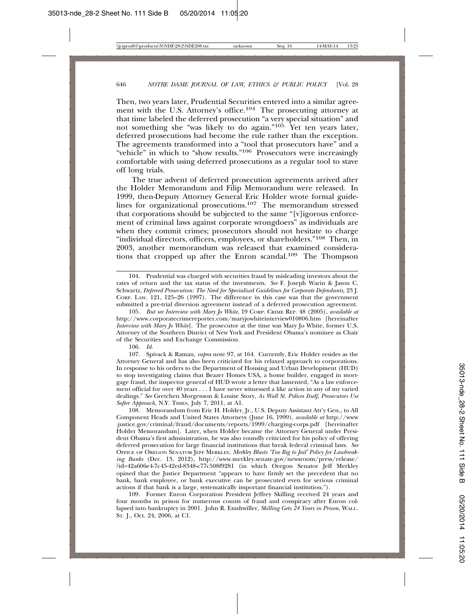Then, two years later, Prudential Securities entered into a similar agreement with the U.S. Attorney's office.<sup>104</sup> The prosecuting attorney at that time labeled the deferred prosecution "a very special situation" and not something she "was likely to do again."<sup>105</sup> Yet ten years later, deferred prosecutions had become the rule rather than the exception. The agreements transformed into a "tool that prosecutors have" and a "vehicle" in which to "show results."<sup>106</sup> Prosecutors were increasingly comfortable with using deferred prosecutions as a regular tool to stave off long trials.

The true advent of deferred prosecution agreements arrived after the Holder Memorandum and Filip Memorandum were released. In 1999, then-Deputy Attorney General Eric Holder wrote formal guidelines for organizational prosecutions.107 The memorandum stressed that corporations should be subjected to the same "[v]igorous enforcement of criminal laws against corporate wrongdoers" as individuals are when they commit crimes; prosecutors should not hesitate to charge "individual directors, officers, employees, or shareholders."<sup>108</sup> Then, in 2003, another memorandum was released that examined considerations that cropped up after the Enron scandal.109 The Thompson

106. *Id.*

107. Spivack & Raman, *supra* note 97, at 164. Currently, Eric Holder resides as the Attorney General and has also been criticized for his relaxed approach to corporations. In response to his orders to the Department of Housing and Urban Development (HUD) to stop investigating claims that Beazer Homes USA, a home builder, engaged in mortgage fraud, the inspector general of HUD wrote a letter that lamented, "As a law enforcement official for over 40 years . . . I have never witnessed a like action in any of my varied dealings." *See* Gretchen Morgenson & Louise Story, *As Wall St. Polices Itself, Prosecutors Use Softer Approach*, N.Y. TIMES, July 7, 2011, at A1.

108. Memorandum from Eric H. Holder, Jr., U.S. Deputy Assistant Att'y Gen., to All Component Heads and United States Attorneys (June 16, 1999), *available at* http://www .justice.gov/criminal/fraud/documents/reports/1999/charging-corps.pdf [hereinafter Holder Memorandum]. Later, when Holder became the Attorney General under President Obama's first administration, he was also roundly criticized for his policy of offering deferred prosecution for large financial institutions that break federal criminal laws. *See* OFFICE OF OREGON SENATOR JEFF MERKLEY, Merkley Blasts 'Too Big to Jail' Policy for Lawbreak*ing Banks* (Dec. 13, 2012), http://www.merkley.senate.gov/newsroom/press/release/ ?id=42a606e4-7c45-42ed-8348-c77c508f9281 (in which Oregon Senator Jeff Merkley opined that the Justice Department "appears to have firmly set the precedent that no bank, bank employee, or bank executive can be prosecuted even for serious criminal actions if that bank is a large, systematically important financial institution.").

109. Former Enron Corporation President Jeffrey Skilling received 24 years and four months in prison for numerous counts of fraud and conspiracy after Enron collapsed into bankruptcy in 2001. John R. Emshwiller, *Skilling Gets 24 Years in Prison*, WALL. ST. J., Oct. 24, 2006, at C1.

<sup>104.</sup> Prudential was charged with securities fraud by misleading investors about the rates of return and the tax status of the investments. *See* F. Joseph Warin & Jason C. Schwartz, *Deferred Prosecution: The Need for Specialized Guidelines for Corporate Defendants,* 23 J. CORP. LAW. 121, 125–26 (1997). The difference in this case was that the government submitted a pre-trial diversion agreement instead of a deferred prosecution agreement.

<sup>105.</sup> *But see Interview with Mary Jo White*, 19 CORP. CRIME REP. 48 (2005), *available at* http://www.corporatecrimereporter.com/maryjowhiteinterview010806.htm [hereinafter *Interview with Mary Jo White*]. The prosecutor at the time was Mary Jo White, former U.S. Attorney of the Southern District of New York and President Obama's nominee as Chair of the Securities and Exchange Commission.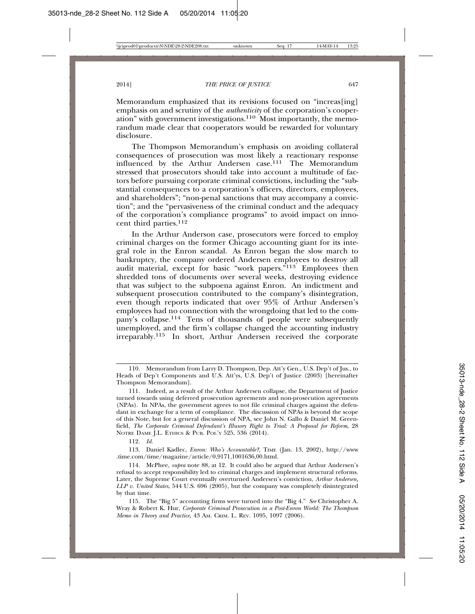Memorandum emphasized that its revisions focused on "increas[ing] emphasis on and scrutiny of the *authenticity* of the corporation's cooperation" with government investigations.110 Most importantly, the memorandum made clear that cooperators would be rewarded for voluntary disclosure.

The Thompson Memorandum's emphasis on avoiding collateral consequences of prosecution was most likely a reactionary response influenced by the Arthur Andersen case.<sup>111</sup> The Memorandum stressed that prosecutors should take into account a multitude of factors before pursuing corporate criminal convictions, including the "substantial consequences to a corporation's officers, directors, employees, and shareholders"; "non-penal sanctions that may accompany a conviction"; and the "pervasiveness of the criminal conduct and the adequacy of the corporation's compliance programs" to avoid impact on innocent third parties.112

In the Arthur Anderson case, prosecutors were forced to employ criminal charges on the former Chicago accounting giant for its integral role in the Enron scandal. As Enron began the slow march to bankruptcy, the company ordered Andersen employees to destroy all audit material, except for basic "work papers."<sup>113</sup> Employees then shredded tons of documents over several weeks, destroying evidence that was subject to the subpoena against Enron. An indictment and subsequent prosecution contributed to the company's disintegration, even though reports indicated that over 95% of Arthur Andersen's employees had no connection with the wrongdoing that led to the company's collapse.114 Tens of thousands of people were subsequently unemployed, and the firm's collapse changed the accounting industry irreparably.115 In short, Arthur Andersen received the corporate

112. *Id.*

113. Daniel Kadlec, *Enron: Who's Accountable?*, TIME (Jan. 13, 2002), http://www .time.com/time/magazine/article/0,9171,1001636,00.html.

<sup>110.</sup> Memorandum from Larry D. Thompson, Dep. Att'y Gen., U.S. Dep't of Jus., to Heads of Dep't Components and U.S. Att'ys, U.S. Dep't of Justice (2003) [hereinafter Thompson Memorandum].

<sup>111.</sup> Indeed, as a result of the Arthur Andersen collapse, the Department of Justice turned towards using deferred prosecution agreements and non-prosecution agreements (NPAs). In NPAs, the government agrees to not file criminal charges against the defendant in exchange for a term of compliance. The discussion of NPAs is beyond the scope of this Note, but for a general discussion of NPA, see John N. Gallo & Daniel M. Greenfield, *The Corporate Criminal Defendant's Illusory Right to Trial: A Proposal for Reform*, 28 NOTRE DAME J.L. ETHICS & PUB. POL'Y 525, 536 (2014).

<sup>114.</sup> McPhee, *supra* note 88, at 12. It could also be argued that Arthur Andersen's refusal to accept responsibility led to criminal charges and implement structural reforms. Later, the Supreme Court eventually overturned Andersen's conviction, *Arthur Andersen, LLP v. United States*, 544 U.S. 696 (2005), but the company was completely disintegrated by that time.

<sup>115.</sup> The "Big 5" accounting firms were turned into the "Big 4." *See* Christopher A. Wray & Robert K. Hur, *Corporate Criminal Prosecution in a Post-Enron World: The Thompson Memo in Theory and Practice,* 43 AM. CRIM. L. REV. 1095, 1097 (2006).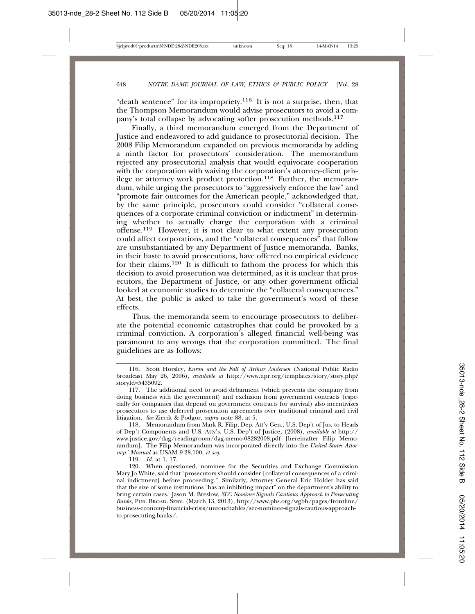"death sentence" for its impropriety.<sup>116</sup> It is not a surprise, then, that the Thompson Memorandum would advise prosecutors to avoid a company's total collapse by advocating softer prosecution methods.<sup>117</sup>

Finally, a third memorandum emerged from the Department of Justice and endeavored to add guidance to prosecutorial decision. The 2008 Filip Memorandum expanded on previous memoranda by adding a ninth factor for prosecutors' consideration. The memorandum rejected any prosecutorial analysis that would equivocate cooperation with the corporation with waiving the corporation's attorney-client privilege or attorney work product protection.<sup>118</sup> Further, the memorandum, while urging the prosecutors to "aggressively enforce the law" and "promote fair outcomes for the American people," acknowledged that, by the same principle, prosecutors could consider "collateral consequences of a corporate criminal conviction or indictment" in determining whether to actually charge the corporation with a criminal offense.119 However, it is not clear to what extent any prosecution could affect corporations, and the "collateral consequences" that follow are unsubstantiated by any Department of Justice memoranda. Banks, in their haste to avoid prosecutions, have offered no empirical evidence for their claims.<sup>120</sup> It is difficult to fathom the process for which this decision to avoid prosecution was determined, as it is unclear that prosecutors, the Department of Justice, or any other government official looked at economic studies to determine the "collateral consequences." At best, the public is asked to take the government's word of these effects.

Thus, the memoranda seem to encourage prosecutors to deliberate the potential economic catastrophes that could be provoked by a criminal conviction. A corporation's alleged financial well-being was paramount to any wrongs that the corporation committed. The final guidelines are as follows:

118. Memorandum from Mark R. Filip, Dep. Att'y Gen., U.S. Dep't of Jus, to Heads of Dep't Components and U.S. Atty's, U.S. Dep't of Justice*,* (2008), *available at* http:// www.justice.gov/dag/readingroom/dag-memo-08282008.pdf [hereinafter Filip Memorandum]. The Filip Memorandum was incorporated directly into the *United States Attorneys' Manual* as USAM 9-28.100, *et seq*.

119. *Id.* at 1, 17.

<sup>116.</sup> Scott Horsley, *Enron and the Fall of Arthur Andersen* (National Public Radio broadcast May 26, 2006), *available at* http://www.npr.org/templates/story/story.php? storyId=5435092.

<sup>117.</sup> The additional need to avoid debarment (which prevents the company from doing business with the government) and exclusion from government contracts (especially for companies that depend on government contracts for survival) also incentivizes prosecutors to use deferred prosecution agreements over traditional criminal and civil litigation. *See* Zierdt & Podgor, *supra* note 88, at 5.

<sup>120.</sup> When questioned, nominee for the Securities and Exchange Commission Mary Jo White, said that "prosecutors should consider [collateral consequences of a criminal indictment] before proceeding." Similarly, Attorney General Eric Holder has said that the size of some institutions "has an inhibiting impact" on the department's ability to bring certain cases. Jason M. Breslow, *SEC Nominee Signals Cautious Approach to Prosecuting Banks*, PUB. BROAD. SERV. (March 13, 2013), http://www.pbs.org/wgbh/pages/frontline/ business-economy-financial-crisis/untouchables/sec-nominee-signals-cautious-approachto-prosecuting-banks/.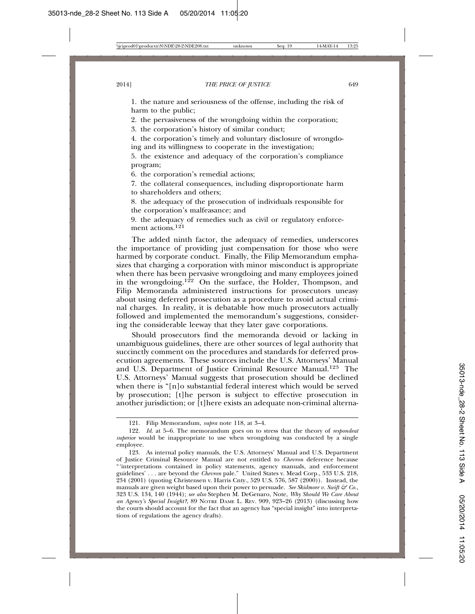1. the nature and seriousness of the offense, including the risk of harm to the public;

2. the pervasiveness of the wrongdoing within the corporation;

3. the corporation's history of similar conduct;

4. the corporation's timely and voluntary disclosure of wrongdoing and its willingness to cooperate in the investigation;

5. the existence and adequacy of the corporation's compliance program;

6. the corporation's remedial actions;

7. the collateral consequences, including disproportionate harm to shareholders and others;

8. the adequacy of the prosecution of individuals responsible for the corporation's malfeasance; and

9. the adequacy of remedies such as civil or regulatory enforcement actions.<sup>121</sup>

The added ninth factor, the adequacy of remedies, underscores the importance of providing just compensation for those who were harmed by corporate conduct. Finally, the Filip Memorandum emphasizes that charging a corporation with minor misconduct is appropriate when there has been pervasive wrongdoing and many employees joined in the wrongdoing.<sup>122</sup> On the surface, the Holder, Thompson, and Filip Memoranda administered instructions for prosecutors uneasy about using deferred prosecution as a procedure to avoid actual criminal charges. In reality, it is debatable how much prosecutors actually followed and implemented the memorandum's suggestions, considering the considerable leeway that they later gave corporations.

Should prosecutors find the memoranda devoid or lacking in unambiguous guidelines, there are other sources of legal authority that succinctly comment on the procedures and standards for deferred prosecution agreements. These sources include the U.S. Attorneys' Manual and U.S. Department of Justice Criminal Resource Manual.123 The U.S. Attorneys' Manual suggests that prosecution should be declined when there is "[n]o substantial federal interest which would be served by prosecution; [t]he person is subject to effective prosecution in another jurisdiction; or [t]here exists an adequate non-criminal alterna-

<sup>121.</sup> Filip Memorandum, *supra* note 118, at 3–4.

<sup>122.</sup> *Id.* at 5–6. The memorandum goes on to stress that the theory of *respondeat superior* would be inappropriate to use when wrongdoing was conducted by a single employee.

<sup>123.</sup> As internal policy manuals, the U.S. Attorneys' Manual and U.S. Department of Justice Criminal Resource Manual are not entitled to *Chevron* deference because "'interpretations contained in policy statements, agency manuals, and enforcement guidelines' . . . are beyond the *Chevron* pale." United States v. Mead Corp., 533 U.S. 218, 234 (2001) (quoting Christensen v. Harris Cnty., 529 U.S. 576, 587 (2000)). Instead, the manuals are given weight based upon their power to persuade. *See Skidmore v. Swift & Co.*, 323 U.S. 134, 140 (1944); *see also* Stephen M. DeGenaro, Note, *Why Should We Care About an Agency's Special Insight?*, 89 NOTRE DAME L. REV. 909, 923–26 (2013) (discussing how the courts should account for the fact that an agency has "special insight" into interpretations of regulations the agency drafts).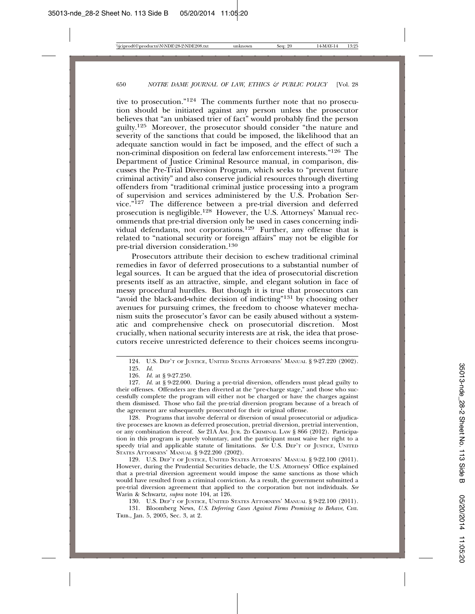tive to prosecution."124 The comments further note that no prosecution should be initiated against any person unless the prosecutor believes that "an unbiased trier of fact" would probably find the person guilty.125 Moreover, the prosecutor should consider "the nature and severity of the sanctions that could be imposed, the likelihood that an adequate sanction would in fact be imposed, and the effect of such a non-criminal disposition on federal law enforcement interests."126 The Department of Justice Criminal Resource manual, in comparison, discusses the Pre-Trial Diversion Program, which seeks to "prevent future criminal activity" and also conserve judicial resources through diverting offenders from "traditional criminal justice processing into a program of supervision and services administered by the U.S. Probation Service."127 The difference between a pre-trial diversion and deferred prosecution is negligible.128 However, the U.S. Attorneys' Manual recommends that pre-trial diversion only be used in cases concerning individual defendants, not corporations.129 Further, any offense that is related to "national security or foreign affairs" may not be eligible for pre-trial diversion consideration.130

Prosecutors attribute their decision to eschew traditional criminal remedies in favor of deferred prosecutions to a substantial number of legal sources. It can be argued that the idea of prosecutorial discretion presents itself as an attractive, simple, and elegant solution in face of messy procedural hurdles. But though it is true that prosecutors can "avoid the black-and-white decision of indicting"<sup>131</sup> by choosing other avenues for pursuing crimes, the freedom to choose whatever mechanism suits the prosecutor's favor can be easily abused without a systematic and comprehensive check on prosecutorial discretion. Most crucially, when national security interests are at risk, the idea that prosecutors receive unrestricted deference to their choices seems incongru-

128. Programs that involve deferral or diversion of usual prosecutorial or adjudicative processes are known as deferred prosecution, pretrial diversion, pretrial intervention, or any combination thereof. *See* 21A AM. JUR. 2D CRIMINAL LAW § 866 (2012). Participation in this program is purely voluntary, and the participant must waive her right to a speedy trial and applicable statute of limitations. *See* U.S. DEP'T OF JUSTICE, UNITED STATES ATTORNEYS' MANUAL § 9-22.200 (2002).

129. U.S. DEP'T OF JUSTICE, UNITED STATES ATTORNEYS' MANUAL § 9-22.100 (2011). However, during the Prudential Securities debacle, the U.S. Attorneys' Office explained that a pre-trial diversion agreement would impose the same sanctions as those which would have resulted from a criminal conviction. As a result, the government submitted a pre-trial diversion agreement that applied to the corporation but not individuals. *See* Warin & Schwartz, *supra* note 104, at 126.

130. U.S. DEP'T OF JUSTICE, UNITED STATES ATTORNEYS' MANUAL § 9-22.100 (2011).

131. Bloomberg News, *U.S. Deferring Cases Against Firms Promising to Behave*, CHI. TRIB., Jan. 5, 2005, Sec. 3, at 2.

<sup>124.</sup> U.S. DEP'T OF JUSTICE, UNITED STATES ATTORNEYS' MANUAL § 9-27.220 (2002). 125. *Id.*

<sup>126.</sup> *Id.* at § 9-27.250.

<sup>127.</sup> *Id.* at § 9-22.000. During a pre-trial diversion, offenders must plead guilty to their offenses. Offenders are then diverted at the "pre-charge stage," and those who successfully complete the program will either not be charged or have the charges against them dismissed. Those who fail the pre-trial diversion program because of a breach of the agreement are subsequently prosecuted for their original offense.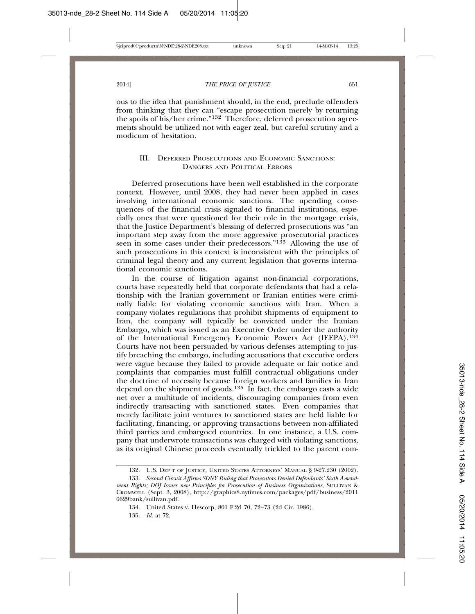ous to the idea that punishment should, in the end, preclude offenders from thinking that they can "escape prosecution merely by returning the spoils of his/her crime."132 Therefore, deferred prosecution agreements should be utilized not with eager zeal, but careful scrutiny and a modicum of hesitation.

#### III. DEFERRED PROSECUTIONS AND ECONOMIC SANCTIONS: DANGERS AND POLITICAL ERRORS

Deferred prosecutions have been well established in the corporate context. However, until 2008, they had never been applied in cases involving international economic sanctions. The upending consequences of the financial crisis signaled to financial institutions, especially ones that were questioned for their role in the mortgage crisis, that the Justice Department's blessing of deferred prosecutions was "an important step away from the more aggressive prosecutorial practices seen in some cases under their predecessors."<sup>133</sup> Allowing the use of such prosecutions in this context is inconsistent with the principles of criminal legal theory and any current legislation that governs international economic sanctions.

In the course of litigation against non-financial corporations, courts have repeatedly held that corporate defendants that had a relationship with the Iranian government or Iranian entities were criminally liable for violating economic sanctions with Iran. When a company violates regulations that prohibit shipments of equipment to Iran, the company will typically be convicted under the Iranian Embargo, which was issued as an Executive Order under the authority of the International Emergency Economic Powers Act (IEEPA).134 Courts have not been persuaded by various defenses attempting to justify breaching the embargo, including accusations that executive orders were vague because they failed to provide adequate or fair notice and complaints that companies must fulfill contractual obligations under the doctrine of necessity because foreign workers and families in Iran depend on the shipment of goods.135 In fact, the embargo casts a wide net over a multitude of incidents, discouraging companies from even indirectly transacting with sanctioned states. Even companies that merely facilitate joint ventures to sanctioned states are held liable for facilitating, financing, or approving transactions between non-affiliated third parties and embargoed countries. In one instance, a U.S. company that underwrote transactions was charged with violating sanctions, as its original Chinese proceeds eventually trickled to the parent com-

<sup>132.</sup> U.S. DEP'T OF JUSTICE, UNITED STATES ATTORNEYS' MANUAL § 9-27.230 (2002).

<sup>133.</sup> *Second Circuit Affirms SDNY Ruling that Prosecutors Denied Defendants' Sixth Amendment Rights; DOJ Issues new Principles for Prosecution of Business Organizations*, SULLIVAN & CROMWELL (Sept. 3, 2008), http://graphics8.nytimes.com/packages/pdf/business/2011 0629bank/sullivan.pdf.

<sup>134.</sup> United States v. Hescorp, 801 F.2d 70, 72–73 (2d Cir. 1986).

<sup>135.</sup> *Id.* at 72.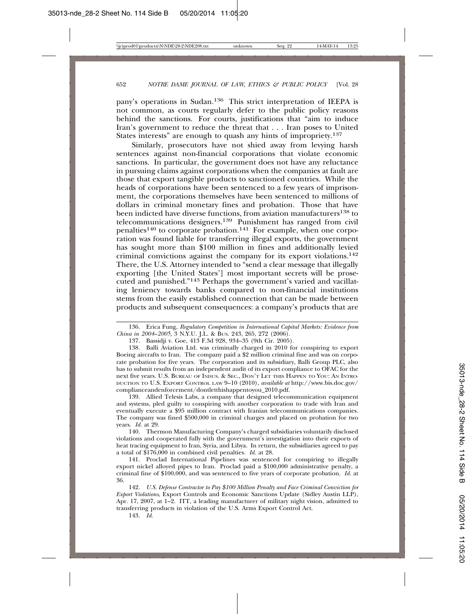pany's operations in Sudan.136 This strict interpretation of IEEPA is not common, as courts regularly defer to the public policy reasons behind the sanctions. For courts, justifications that "aim to induce Iran's government to reduce the threat that . . . Iran poses to United States interests" are enough to quash any hints of impropriety.<sup>137</sup>

Similarly, prosecutors have not shied away from levying harsh sentences against non-financial corporations that violate economic sanctions. In particular, the government does not have any reluctance in pursuing claims against corporations when the companies at fault are those that export tangible products to sanctioned countries. While the heads of corporations have been sentenced to a few years of imprisonment, the corporations themselves have been sentenced to millions of dollars in criminal monetary fines and probation. Those that have been indicted have diverse functions, from aviation manufacturers<sup>138</sup> to telecommunications designers.139 Punishment has ranged from civil penalties<sup>140</sup> to corporate probation.<sup>141</sup> For example, when one corporation was found liable for transferring illegal exports, the government has sought more than \$100 million in fines and additionally levied criminal convictions against the company for its export violations.142 There, the U.S. Attorney intended to "send a clear message that illegally exporting [the United States'] most important secrets will be prosecuted and punished."143 Perhaps the government's varied and vacillating leniency towards banks compared to non-financial institutions stems from the easily established connection that can be made between products and subsequent consequences: a company's products that are

139. Allied Telesis Labs, a company that designed telecommunication equipment and systems, pled guilty to conspiring with another corporation to trade with Iran and eventually execute a \$95 million contract with Iranian telecommunications companies. The company was fined \$500,000 in criminal charges and placed on probation for two years. *Id.* at 29.

140. Thermon Manufacturing Company's charged subsidiaries voluntarily disclosed violations and cooperated fully with the government's investigation into their exports of heat tracing equipment to Iran, Syria, and Libya. In return, the subsidiaries agreed to pay a total of \$176,000 in combined civil penalties. *Id.* at 28.

141. Proclad International Pipelines was sentenced for conspiring to illegally export nickel alloyed pipes to Iran. Proclad paid a \$100,000 administrative penalty, a criminal fine of \$100,000, and was sentenced to five years of corporate probation. *Id.* at 36.

142. *U.S. Defense Contractor to Pay \$100 Million Penalty and Face Criminal Conviction for Export Violations*, Export Controls and Economic Sanctions Update (Sidley Austin LLP), Apr. 17, 2007, at 1–2. ITT, a leading manufacturer of military night vision, admitted to transferring products in violation of the U.S. Arms Export Control Act.

143. *Id.*

<sup>136.</sup> Erica Fung, *Regulatory Competition in International Capital Markets: Evidence from China in 2004*–*2005,* 3 N.Y.U. J.L. & BUS. 243, 265, 272 (2006).

<sup>137.</sup> Bassidji v. Goe, 413 F.3d 928, 934–35 (9th Cir. 2005).

<sup>138.</sup> Balli Aviation Ltd. was criminally charged in 2010 for conspiring to export Boeing aircrafts to Iran. The company paid a \$2 million criminal fine and was on corporate probation for five years. The corporation and its subsidiary, Balli Group PLC, also has to submit results from an independent audit of its export compliance to OFAC for the next five years. U.S. BUREAU OF INDUS. & SEC., DON'T LET THIS HAPPEN TO YOU: AN INTRO-DUCTION TO U.S. EXPORT CONTROL LAW 9–10 (2010), *available at* http://www.bis.doc.gov/ complianceandenforcement/dontletthishappentoyou\_2010.pdf.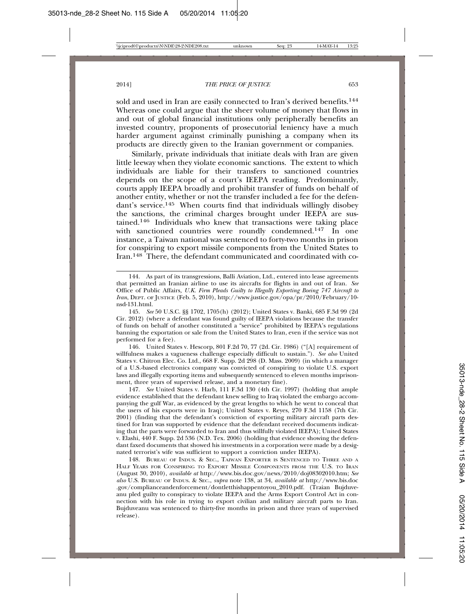sold and used in Iran are easily connected to Iran's derived benefits.<sup>144</sup>

Whereas one could argue that the sheer volume of money that flows in and out of global financial institutions only peripherally benefits an invested country, proponents of prosecutorial leniency have a much harder argument against criminally punishing a company when its products are directly given to the Iranian government or companies.

Similarly, private individuals that initiate deals with Iran are given little leeway when they violate economic sanctions. The extent to which individuals are liable for their transfers to sanctioned countries depends on the scope of a court's IEEPA reading. Predominantly, courts apply IEEPA broadly and prohibit transfer of funds on behalf of another entity, whether or not the transfer included a fee for the defendant's service.145 When courts find that individuals willingly disobey the sanctions, the criminal charges brought under IEEPA are sustained.146 Individuals who knew that transactions were taking place with sanctioned countries were roundly condemned.<sup>147</sup> In one instance, a Taiwan national was sentenced to forty-two months in prison for conspiring to export missile components from the United States to Iran.148 There, the defendant communicated and coordinated with co-

146. United States v. Hescorp, 801 F.2d 70, 77 (2d. Cir. 1986) ("[A] requirement of willfulness makes a vagueness challenge especially difficult to sustain."). *See also* United States v. Chitron Elec. Co. Ltd., 668 F. Supp. 2d 298 (D. Mass. 2009) (in which a manager of a U.S.-based electronics company was convicted of conspiring to violate U.S. export laws and illegally exporting items and subsequently sentenced to eleven months imprisonment, three years of supervised release, and a monetary fine).

147. *See* United States v. Harb, 111 F.3d 130 (4th Cir. 1997) (holding that ample evidence established that the defendant knew selling to Iraq violated the embargo accompanying the gulf War, as evidenced by the great lengths to which he went to conceal that the users of his exports were in Iraq); United States v. Reyes, 270 F.3d 1158 (7th Cir. 2001) (finding that the defendant's conviction of exporting military aircraft parts destined for Iran was supported by evidence that the defendant received documents indicating that the parts were forwarded to Iran and thus willfully violated IEEPA); United States v. Elashi, 440 F. Supp. 2d 536 (N.D. Tex. 2006) (holding that evidence showing the defendant faxed documents that showed his investments in a corporation were made by a designated terrorist's wife was sufficient to support a conviction under IEEPA).

148. BUREAU OF INDUS. & SEC., TAIWAN EXPORTER IS SENTENCED TO THREE AND A HALF YEARS FOR CONSPIRING TO EXPORT MISSILE COMPONENTS FROM THE U.S. TO IRAN (August 30, 2010), *available at* http://www.bis.doc.gov/news/2010/doj08302010.htm; *See also* U.S. BUREAU OF INDUS. & SEC., *supra* note 138, at 34, *available at* http://www.bis.doc .gov/complianceandenforcement/dontletthishappentoyou\_2010.pdf. (Traian Bujduveanu pled guilty to conspiracy to violate IEEPA and the Arms Export Control Act in connection with his role in trying to export civilian and military aircraft parts to Iran. Bujduveanu was sentenced to thirty-five months in prison and three years of supervised release).

<sup>144.</sup> As part of its transgressions, Balli Aviation, Ltd., entered into lease agreements that permitted an Iranian airline to use its aircrafts for flights in and out of Iran. *See* Office of Public Affairs*, U.K. Firm Pleads Guilty to Illegally Exporting Boeing 747 Aircraft to Iran*, DEPT. OF JUSTICE (Feb. 5, 2010), http://www.justice.gov/opa/pr/2010/February/10 nsd-131.html.

<sup>145.</sup> *See* 50 U.S.C. §§ 1702, 1705(h) (2012); United States v. Banki, 685 F.3d 99 (2d Cir. 2012) (where a defendant was found guilty of IEEPA violations because the transfer of funds on behalf of another constituted a "service" prohibited by IEEPA's regulations banning the exportation or sale from the United States to Iran, even if the service was not performed for a fee).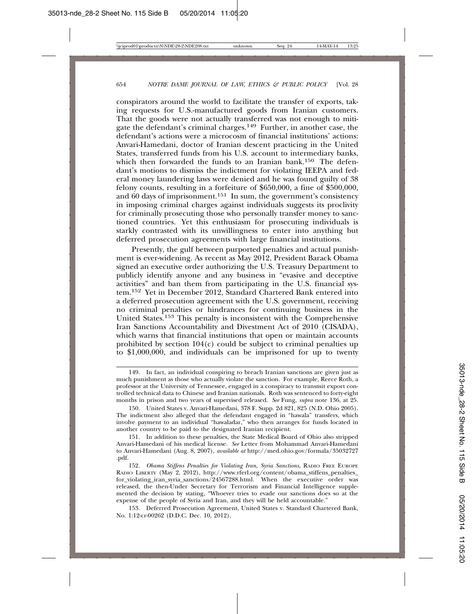conspirators around the world to facilitate the transfer of exports, taking requests for U.S.-manufactured goods from Iranian customers. That the goods were not actually transferred was not enough to mitigate the defendant's criminal charges.149 Further, in another case, the defendant's actions were a microcosm of financial institutions' actions: Anvari-Hamedani, doctor of Iranian descent practicing in the United States, transferred funds from his U.S. account to intermediary banks, which then forwarded the funds to an Iranian bank.<sup>150</sup> The defendant's motions to dismiss the indictment for violating IEEPA and federal money laundering laws were denied and he was found guilty of 38 felony counts, resulting in a forfeiture of \$650,000, a fine of \$500,000, and  $60$  days of imprisonment.<sup>151</sup> In sum, the government's consistency in imposing criminal charges against individuals suggests its proclivity for criminally prosecuting those who personally transfer money to sanctioned countries. Yet this enthusiasm for prosecuting individuals is starkly contrasted with its unwillingness to enter into anything but deferred prosecution agreements with large financial institutions.

Presently, the gulf between purported penalties and actual punishment is ever-widening. As recent as May 2012, President Barack Obama signed an executive order authorizing the U.S. Treasury Department to publicly identify anyone and any business in "evasive and deceptive activities" and ban them from participating in the U.S. financial system.152 Yet in December 2012, Standard Chartered Bank entered into a deferred prosecution agreement with the U.S. government, receiving no criminal penalties or hindrances for continuing business in the United States.153 This penalty is inconsistent with the Comprehensive Iran Sanctions Accountability and Divestment Act of 2010 (CISADA), which warns that financial institutions that open or maintain accounts prohibited by section  $104(c)$  could be subject to criminal penalties up to \$1,000,000, and individuals can be imprisoned for up to twenty

<sup>149.</sup> In fact, an individual conspiring to breach Iranian sanctions are given just as much punishment as those who actually violate the sanction. For example, Reece Roth, a professor at the University of Tennessee, engaged in a conspiracy to transmit export controlled technical data to Chinese and Iranian nationals. Roth was sentenced to forty-eight months in prison and two years of supervised released. *See* Fung, *supra* note 136, at 25.

<sup>150.</sup> United States v. Anvari-Hamedani, 378 F. Supp. 2d 821, 825 (N.D. Ohio 2005). The indictment also alleged that the defendant engaged in "hawala" transfers, which involve payment to an individual "hawaladar," who then arranges for funds located in another country to be paid to the designated Iranian recipient.

<sup>151.</sup> In addition to these penalties, the State Medical Board of Ohio also stripped Anvari-Hamedani of his medical license. *See* Letter from Mohammad Anvari-Hamedani to Anvari-Hamedani (Aug. 8, 2007), *available at* http://med.ohio.gov/formala/35032727 .pdf.

<sup>152.</sup> *Obama Stiffens Penalties for Violating Iran, Syria Sanctions*, RADIO FREE EUROPE RADIO LIBERTY (May 2, 2012), http://www.rferl.org/content/obama\_stiffens\_penalties\_ for\_violating\_iran\_syria\_sanctions/24567288.html. When the executive order was released, the then-Under Secretary for Terrorism and Financial Intelligence supplemented the decision by stating, "Whoever tries to evade our sanctions does so at the expense of the people of Syria and Iran, and they will be held accountable."

<sup>153.</sup> Deferred Prosecution Agreement, United States v. Standard Chartered Bank, No. 1:12-cr-00262 (D.D.C. Dec. 10, 2012).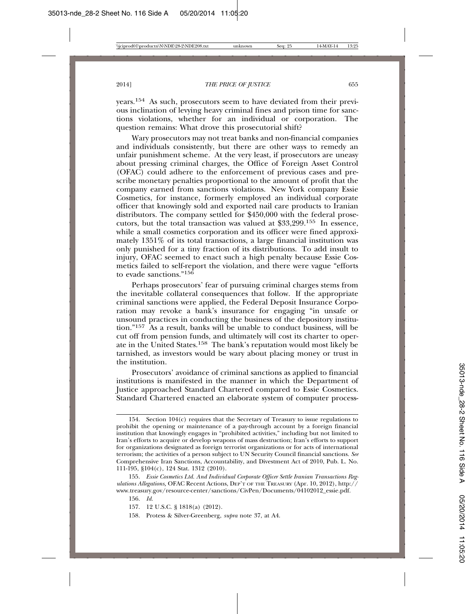years.154 As such, prosecutors seem to have deviated from their previous inclination of levying heavy criminal fines and prison time for sanctions violations, whether for an individual or corporation. The question remains: What drove this prosecutorial shift?

Wary prosecutors may not treat banks and non-financial companies and individuals consistently, but there are other ways to remedy an unfair punishment scheme. At the very least, if prosecutors are uneasy about pressing criminal charges, the Office of Foreign Asset Control (OFAC) could adhere to the enforcement of previous cases and prescribe monetary penalties proportional to the amount of profit that the company earned from sanctions violations. New York company Essie Cosmetics, for instance, formerly employed an individual corporate officer that knowingly sold and exported nail care products to Iranian distributors. The company settled for \$450,000 with the federal prosecutors, but the total transaction was valued at \$33,299.155 In essence, while a small cosmetics corporation and its officer were fined approximately 1351% of its total transactions, a large financial institution was only punished for a tiny fraction of its distributions. To add insult to injury, OFAC seemed to enact such a high penalty because Essie Cosmetics failed to self-report the violation, and there were vague "efforts to evade sanctions."156

Perhaps prosecutors' fear of pursuing criminal charges stems from the inevitable collateral consequences that follow. If the appropriate criminal sanctions were applied, the Federal Deposit Insurance Corporation may revoke a bank's insurance for engaging "in unsafe or unsound practices in conducting the business of the depository institution."157 As a result, banks will be unable to conduct business, will be cut off from pension funds, and ultimately will cost its charter to operate in the United States.158 The bank's reputation would most likely be tarnished, as investors would be wary about placing money or trust in the institution.

Prosecutors' avoidance of criminal sanctions as applied to financial institutions is manifested in the manner in which the Department of Justice approached Standard Chartered compared to Essie Cosmetics. Standard Chartered enacted an elaborate system of computer process-

158. Protess & Silver-Greenberg, *supra* note 37, at A4.

<sup>154.</sup> Section 104(c) requires that the Secretary of Treasury to issue regulations to prohibit the opening or maintenance of a pay-through account by a foreign financial institution that knowingly engages in "prohibited activities," including but not limited to Iran's efforts to acquire or develop weapons of mass destruction; Iran's efforts to support for organizations designated as foreign terrorist organizations or for acts of international terrorism; the activities of a person subject to UN Security Council financial sanctions. *See* Comprehensive Iran Sanctions, Accountability, and Divestment Act of 2010, Pub. L. No. 111-195, §104(c), 124 Stat. 1312 (2010).

<sup>155.</sup> *Essie Cosmetics Ltd. And Individual Corporate Officer Settle Iranian Transactions Regulations Allegations,* OFAC Recent Actions, DEP'T OF THE TREASURY (Apr. 10, 2012), http:// www.treasury.gov/resource-center/sanctions/CivPen/Documents/04102012\_essie.pdf.

<sup>156.</sup> *Id.*

<sup>157. 12</sup> U.S.C. § 1818(a) (2012).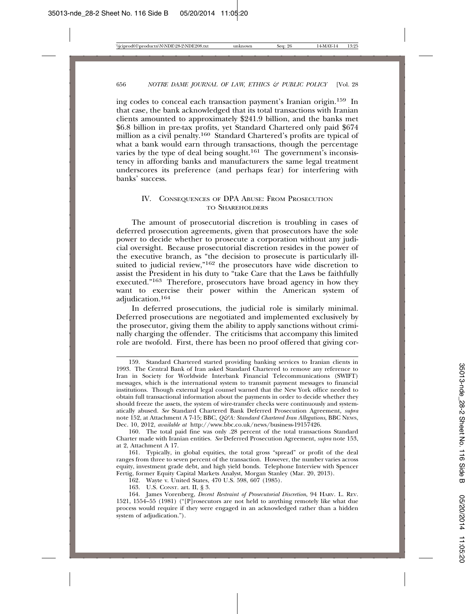ing codes to conceal each transaction payment's Iranian origin.159 In that case, the bank acknowledged that its total transactions with Iranian clients amounted to approximately \$241.9 billion, and the banks met \$6.8 billion in pre-tax profits, yet Standard Chartered only paid \$674 million as a civil penalty.<sup>160</sup> Standard Chartered's profits are typical of what a bank would earn through transactions, though the percentage varies by the type of deal being sought.<sup>161</sup> The government's inconsistency in affording banks and manufacturers the same legal treatment underscores its preference (and perhaps fear) for interfering with banks' success.

#### IV. CONSEQUENCES OF DPA ABUSE: FROM PROSECUTION TO SHAREHOLDERS

The amount of prosecutorial discretion is troubling in cases of deferred prosecution agreements, given that prosecutors have the sole power to decide whether to prosecute a corporation without any judicial oversight. Because prosecutorial discretion resides in the power of the executive branch, as "the decision to prosecute is particularly illsuited to judicial review,"<sup>162</sup> the prosecutors have wide discretion to assist the President in his duty to "take Care that the Laws be faithfully executed."163 Therefore, prosecutors have broad agency in how they want to exercise their power within the American system of adjudication.<sup>164</sup>

In deferred prosecutions, the judicial role is similarly minimal. Deferred prosecutions are negotiated and implemented exclusively by the prosecutor, giving them the ability to apply sanctions without criminally charging the offender. The criticisms that accompany this limited role are twofold. First, there has been no proof offered that giving cor-

163. U.S. CONST. art. II, § 3.

<sup>159.</sup> Standard Chartered started providing banking services to Iranian clients in 1993. The Central Bank of Iran asked Standard Chartered to remove any reference to Iran in Society for Worldwide Interbank Financial Telecommunications (SWIFT) messages, which is the international system to transmit payment messages to financial institutions. Though external legal counsel warned that the New York office needed to obtain full transactional information about the payments in order to decide whether they should freeze the assets, the system of wire-transfer checks were continuously and systematically abused. *See* Standard Chartered Bank Deferred Prosecution Agreement, *supra* note 152, at Attachment A 7-15; BBC, *Q&A: Standard Chartered Iran Allegations*, BBC NEWS, Dec. 10, 2012, *available at* http://www.bbc.co.uk/news/business-19157426.

<sup>160.</sup> The total paid fine was only .28 percent of the total transactions Standard Charter made with Iranian entities. *See* Deferred Prosecution Agreement, *supra* note 153, at 2, Attachment A 17.

<sup>161.</sup> Typically, in global equities, the total gross "spread" or profit of the deal ranges from three to seven percent of the transaction. However, the number varies across equity, investment grade debt, and high yield bonds. Telephone Interview with Spencer Fertig, former Equity Capital Markets Analyst, Morgan Stanley (Mar. 20, 2013).

<sup>162.</sup> Wayte v. United States, 470 U.S. 598, 607 (1985).

<sup>164.</sup> James Vorenberg, *Decent Restraint of Prosecutorial Discretion*, 94 HARV. L. REV. 1521, 1554–55 (1981) ("[P]rosecutors are not held to anything remotely like what due process would require if they were engaged in an acknowledged rather than a hidden system of adjudication.").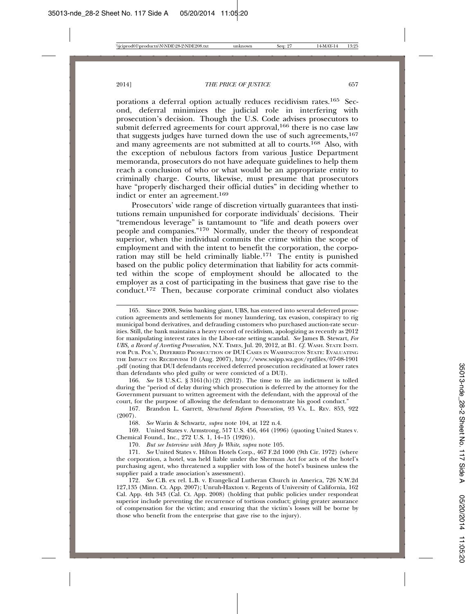2014] *THE PRICE OF JUSTICE* 657

porations a deferral option actually reduces recidivism rates.165 Second, deferral minimizes the judicial role in interfering with prosecution's decision. Though the U.S. Code advises prosecutors to submit deferred agreements for court approval,  $166$  there is no case law that suggests judges have turned down the use of such agreements,167 and many agreements are not submitted at all to courts.<sup>168</sup> Also, with the exception of nebulous factors from various Justice Department memoranda, prosecutors do not have adequate guidelines to help them reach a conclusion of who or what would be an appropriate entity to criminally charge. Courts, likewise, must presume that prosecutors have "properly discharged their official duties" in deciding whether to indict or enter an agreement.169

Prosecutors' wide range of discretion virtually guarantees that institutions remain unpunished for corporate individuals' decisions. Their "tremendous leverage" is tantamount to "life and death powers over people and companies."170 Normally, under the theory of respondeat superior, when the individual commits the crime within the scope of employment and with the intent to benefit the corporation, the corporation may still be held criminally liable.171 The entity is punished based on the public policy determination that liability for acts committed within the scope of employment should be allocated to the employer as a cost of participating in the business that gave rise to the conduct.172 Then, because corporate criminal conduct also violates

166. *See* 18 U.S.C. § 3161(h)(2) (2012). The time to file an indictment is tolled during the "period of delay during which prosecution is deferred by the attorney for the Government pursuant to written agreement with the defendant, with the approval of the court, for the purpose of allowing the defendant to demonstrate his good conduct."

167. Brandon L. Garrett, *Structural Reform Prosecution,* 93 VA. L. REV. 853, 922 (2007).

168. *See* Warin & Schwartz, *supra* note 104, at 122 n.4.

169. United States v. Armstrong, 517 U.S. 456, 464 (1996) (quoting United States v. Chemical Found., Inc., 272 U.S. 1, 14–15 (1926)).

170. *But see Interview with Mary Jo White*, *supra* note 105.

171. *See* United States v. Hilton Hotels Corp., 467 F.2d 1000 (9th Cir. 1972) (where the corporation, a hotel, was held liable under the Sherman Act for acts of the hotel's purchasing agent, who threatened a supplier with loss of the hotel's business unless the supplier paid a trade association's assessment).

172. *See* C.B. ex rel. L.B. v. Evangelical Lutheran Church in America, 726 N.W.2d 127,135 (Minn. Ct. App. 2007); Unruh-Haxton v. Regents of University of California, 162 Cal. App. 4th 343 (Cal. Ct. App. 2008) (holding that public policies under respondeat superior include preventing the recurrence of tortious conduct; giving greater assurance of compensation for the victim; and ensuring that the victim's losses will be borne by those who benefit from the enterprise that gave rise to the injury).

<sup>165.</sup> Since 2008, Swiss banking giant, UBS, has entered into several deferred prosecution agreements and settlements for money laundering, tax evasion, conspiracy to rig municipal bond derivatives, and defrauding customers who purchased auction-rate securities. Still, the bank maintains a heavy record of recidivism, apologizing as recently as 2012 for manipulating interest rates in the Libor-rate setting scandal. *See* James B. Stewart, *For UBS, a Record of Averting Prosecution*, N.Y. TIMES, Jul. 20, 2012, at B1*. Cf.* WASH. STATE INSTI. FOR PUB. POL'Y, DEFERRED PROSECUTION OF DUI CASES IN WASHINGTON STATE: EVALUATING THE IMPACT ON RECIDIVISM 10 (Aug. 2007), http://www.wsipp.wa.gov/rptfiles/07-08-1901 .pdf (noting that DUI defendants received deferred prosecution recidivated at lower rates than defendants who pled guilty or were convicted of a DUI).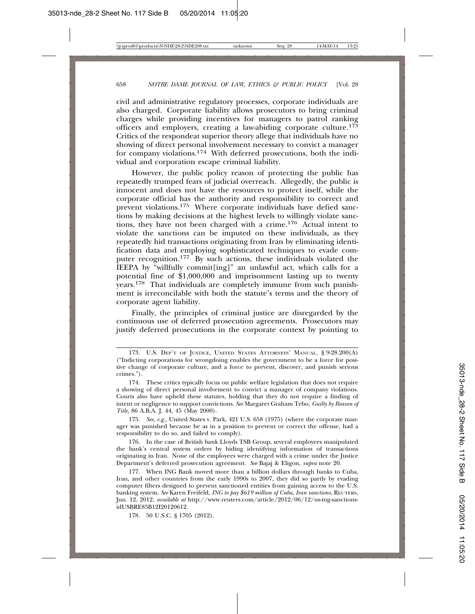civil and administrative regulatory processes, corporate individuals are also charged. Corporate liability allows prosecutors to bring criminal charges while providing incentives for managers to patrol ranking officers and employers, creating a law-abiding corporate culture.<sup>173</sup> Critics of the respondeat superior theory allege that individuals have no showing of direct personal involvement necessary to convict a manager for company violations.174 With deferred prosecutions, both the individual and corporation escape criminal liability.

However, the public policy reason of protecting the public has repeatedly trumped fears of judicial overreach. Allegedly, the public is innocent and does not have the resources to protect itself, while the corporate official has the authority and responsibility to correct and prevent violations.<sup>175</sup> Where corporate individuals have defied sanctions by making decisions at the highest levels to willingly violate sanctions, they have not been charged with a crime.176 Actual intent to violate the sanctions can be imputed on these individuals, as they repeatedly hid transactions originating from Iran by eliminating identification data and employing sophisticated techniques to evade computer recognition.177 By such actions, these individuals violated the IEEPA by "willfully commit[ing]" an unlawful act, which calls for a potential fine of \$1,000,000 and imprisonment lasting up to twenty years.178 That individuals are completely immune from such punishment is irreconcilable with both the statute's terms and the theory of corporate agent liability.

Finally, the principles of criminal justice are disregarded by the continuous use of deferred prosecution agreements. Prosecutors may justify deferred prosecutions in the corporate context by pointing to

176. In the case of British bank Lloyds TSB Group, several employees manipulated the bank's central system orders by hiding identifying information of transactions originating in Iran. None of the employees were charged with a crime under the Justice Department's deferred prosecution agreement. *See* Bajaj & Eligon, *supra* note 20.

177. When ING Bank moved more than a billion dollars through banks to Cuba, Iran, and other countries from the early 1990s to 2007, they did so partly by evading computer filters designed to prevent sanctioned entities from gaining access to the U.S. banking system. *See* Karen Freifeld, *ING to pay \$619 million of Cuba, Iran sanctions*, REUTERS, Jun. 12, 2012, *available at* http://www.reuters.com/article/2012/06/12/us-ing-sanctionsidUSBRE85B12I20120612*.*

178. 50 U.S.C. § 1705 (2012).

<sup>173.</sup> U.S. DEP'T OF JUSTICE, UNITED STATES ATTORNEYS' MANUAL, § 9-28.200(A) ("Indicting corporations for wrongdoing enables the government to be a force for positive change of corporate culture, and a force to prevent, discover, and punish serious crimes.").

<sup>174.</sup> These critics typically focus on public welfare legislation that does not require a showing of direct personal involvement to convict a manager of company violations. Courts also have upheld these statutes, holding that they do not require a finding of intent or negligence to support convictions. *See* Margaret Graham Tebo, *Guilty by Reason of Title*, 86 A.B.A. J. 44, 45 (May 2000).

<sup>175.</sup> *See, e.g.,* United States v. Park, 421 U.S. 658 (1975) (where the corporate manager was punished because he as in a position to prevent or correct the offense, had a responsibility to do so, and failed to comply).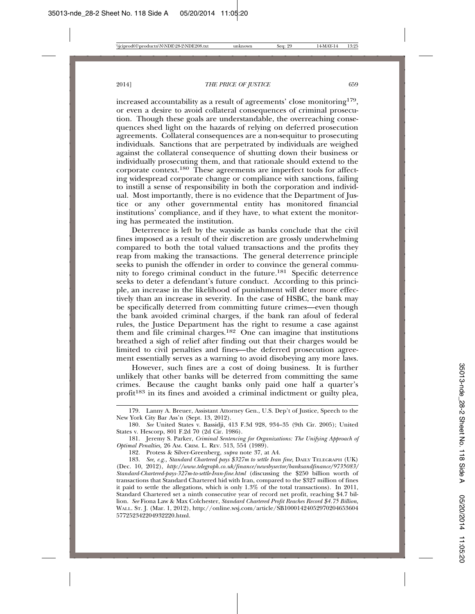increased accountability as a result of agreements' close monitoring<sup>179</sup>. or even a desire to avoid collateral consequences of criminal prosecution. Though these goals are understandable, the overreaching consequences shed light on the hazards of relying on deferred prosecution agreements. Collateral consequences are a non-sequitur to prosecuting individuals. Sanctions that are perpetrated by individuals are weighed against the collateral consequence of shutting down their business or individually prosecuting them, and that rationale should extend to the corporate context.180 These agreements are imperfect tools for affecting widespread corporate change or compliance with sanctions, failing to instill a sense of responsibility in both the corporation and individual. Most importantly, there is no evidence that the Department of Justice or any other governmental entity has monitored financial institutions' compliance, and if they have, to what extent the monitoring has permeated the institution.

Deterrence is left by the wayside as banks conclude that the civil fines imposed as a result of their discretion are grossly underwhelming compared to both the total valued transactions and the profits they reap from making the transactions. The general deterrence principle seeks to punish the offender in order to convince the general community to forego criminal conduct in the future.<sup>181</sup> Specific deterrence seeks to deter a defendant's future conduct. According to this principle, an increase in the likelihood of punishment will deter more effectively than an increase in severity. In the case of HSBC, the bank may be specifically deterred from committing future crimes—even though the bank avoided criminal charges, if the bank ran afoul of federal rules, the Justice Department has the right to resume a case against them and file criminal charges.<sup>182</sup> One can imagine that institutions breathed a sigh of relief after finding out that their charges would be limited to civil penalties and fines—the deferred prosecution agreement essentially serves as a warning to avoid disobeying any more laws.

However, such fines are a cost of doing business. It is further unlikely that other banks will be deterred from committing the same crimes. Because the caught banks only paid one half a quarter's profit<sup>183</sup> in its fines and avoided a criminal indictment or guilty plea,

<sup>179.</sup> Lanny A. Breuer, Assistant Attorney Gen., U.S. Dep't of Justice, Speech to the New York City Bar Ass'n (Sept. 13, 2012).

<sup>180.</sup> *See* United States v. Bassidji, 413 F.3d 928, 934–35 (9th Cir. 2005); United States v. Hescorp, 801 F.2d 70 (2d Cir. 1986).

<sup>181.</sup> Jeremy S. Parker, *Criminal Sentencing for Organizations: The Unifying Approach of Optimal Penalties,* 26 AM. CRIM. L. REV. 513, 554 (1989).

<sup>182.</sup> Protess & Silver-Greenberg, *supra* note 37, at A4.

<sup>183.</sup> See, e.g., Standard Chartered pays \$327m to settle Iran fine, DAILY TELEGRAPH (UK) (Dec. 10, 2012), *http://www.telegraph.co.uk/finance/newsbysector/banksandfinance/9735083/ Standard-Chartered-pays-327m-to-settle-Iran-fine.html* (discussing the \$250 billion worth of transactions that Standard Chartered hid with Iran, compared to the \$327 million of fines it paid to settle the allegations, which is only 1.3% of the total transactions). In 2011, Standard Chartered set a ninth consecutive year of record net profit, reaching \$4.7 billion. *See* Fiona Law & Max Colchester, *Standard Chartered Profit Reaches Record \$4.75 Billion*, WALL. ST. J. (Mar. 1, 2012), http://online.wsj.com/article/SB10001424052970204653604 577252342204932220.html.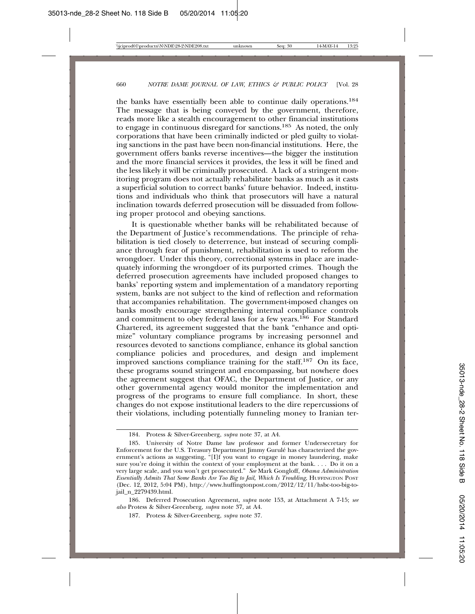the banks have essentially been able to continue daily operations.184 The message that is being conveyed by the government, therefore, reads more like a stealth encouragement to other financial institutions to engage in continuous disregard for sanctions.185 As noted, the only corporations that have been criminally indicted or pled guilty to violating sanctions in the past have been non-financial institutions. Here, the government offers banks reverse incentives—the bigger the institution and the more financial services it provides, the less it will be fined and the less likely it will be criminally prosecuted. A lack of a stringent monitoring program does not actually rehabilitate banks as much as it casts a superficial solution to correct banks' future behavior. Indeed, institutions and individuals who think that prosecutors will have a natural inclination towards deferred prosecution will be dissuaded from following proper protocol and obeying sanctions.

It is questionable whether banks will be rehabilitated because of the Department of Justice's recommendations. The principle of rehabilitation is tied closely to deterrence, but instead of securing compliance through fear of punishment, rehabilitation is used to reform the wrongdoer. Under this theory, correctional systems in place are inadequately informing the wrongdoer of its purported crimes. Though the deferred prosecution agreements have included proposed changes to banks' reporting system and implementation of a mandatory reporting system, banks are not subject to the kind of reflection and reformation that accompanies rehabilitation. The government-imposed changes on banks mostly encourage strengthening internal compliance controls and commitment to obey federal laws for a few years.<sup>186</sup> For Standard Chartered, its agreement suggested that the bank "enhance and optimize" voluntary compliance programs by increasing personnel and resources devoted to sanctions compliance, enhance its global sanction compliance policies and procedures, and design and implement improved sanctions compliance training for the staff.<sup>187</sup> On its face, these programs sound stringent and encompassing, but nowhere does the agreement suggest that OFAC, the Department of Justice, or any other governmental agency would monitor the implementation and progress of the programs to ensure full compliance. In short, these changes do not expose institutional leaders to the dire repercussions of their violations, including potentially funneling money to Iranian ter-

<sup>184.</sup> Protess & Silver-Greenberg, *supra* note 37, at A4.

<sup>185.</sup> University of Notre Dame law professor and former Undersecretary for Enforcement for the U.S. Treasury Department Jimmy Gurulé has characterized the government's actions as suggesting, "[I]f you want to engage in money laundering, make sure you're doing it within the context of your employment at the bank. . . . Do it on a very large scale, and you won't get prosecuted." *See* Mark Gongloff, *Obama Administration Essentially Admits That Some Banks Are Too Big to Jail, Which Is Troubling*, HUFFINGTON POST (Dec. 12, 2012, 5:04 PM), http://www.huffingtonpost.com/2012/12/11/hsbc-too-big-tojail\_n\_2279439.html.

<sup>186.</sup> Deferred Prosecution Agreement, *supra* note 153, at Attachment A 7-15; *see also* Protess & Silver-Greenberg, *supra* note 37, at A4.

<sup>187.</sup> Protess & Silver-Greenberg, *supra* note 37.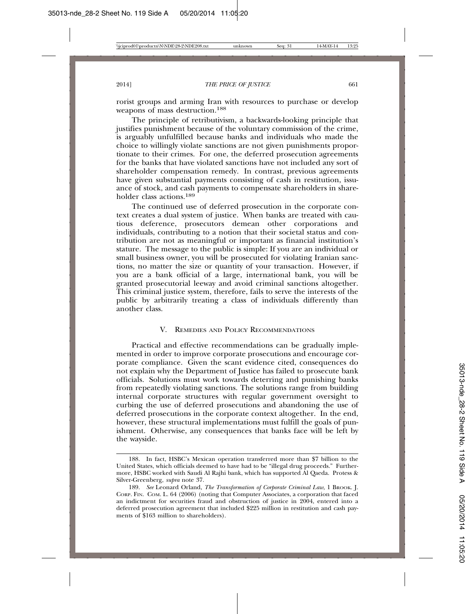rorist groups and arming Iran with resources to purchase or develop weapons of mass destruction.<sup>188</sup>

The principle of retributivism, a backwards-looking principle that justifies punishment because of the voluntary commission of the crime, is arguably unfulfilled because banks and individuals who made the choice to willingly violate sanctions are not given punishments proportionate to their crimes. For one, the deferred prosecution agreements for the banks that have violated sanctions have not included any sort of shareholder compensation remedy. In contrast, previous agreements have given substantial payments consisting of cash in restitution, issuance of stock, and cash payments to compensate shareholders in shareholder class actions.189

The continued use of deferred prosecution in the corporate context creates a dual system of justice. When banks are treated with cautious deference, prosecutors demean other corporations and individuals, contributing to a notion that their societal status and contribution are not as meaningful or important as financial institution's stature. The message to the public is simple: If you are an individual or small business owner, you will be prosecuted for violating Iranian sanctions, no matter the size or quantity of your transaction. However, if you are a bank official of a large, international bank, you will be granted prosecutorial leeway and avoid criminal sanctions altogether. This criminal justice system, therefore, fails to serve the interests of the public by arbitrarily treating a class of individuals differently than another class.

#### V. REMEDIES AND POLICY RECOMMENDATIONS

Practical and effective recommendations can be gradually implemented in order to improve corporate prosecutions and encourage corporate compliance. Given the scant evidence cited, consequences do not explain why the Department of Justice has failed to prosecute bank officials. Solutions must work towards deterring and punishing banks from repeatedly violating sanctions. The solutions range from building internal corporate structures with regular government oversight to curbing the use of deferred prosecutions and abandoning the use of deferred prosecutions in the corporate context altogether. In the end, however, these structural implementations must fulfill the goals of punishment. Otherwise, any consequences that banks face will be left by the wayside.

<sup>188.</sup> In fact, HSBC's Mexican operation transferred more than \$7 billion to the United States, which officials deemed to have had to be "illegal drug proceeds." Furthermore, HSBC worked with Saudi Al Rajhi bank, which has supported Al Qaeda. Protess & Silver-Greenberg, *supra* note 37.

<sup>189.</sup> See Leonard Orland, *The Transformation of Corporate Criminal Law*, 1 BROOK. J. CORP. FIN. COM. L. 64 (2006) (noting that Computer Associates, a corporation that faced an indictment for securities fraud and obstruction of justice in 2004, entered into a deferred prosecution agreement that included \$225 million in restitution and cash payments of \$163 million to shareholders).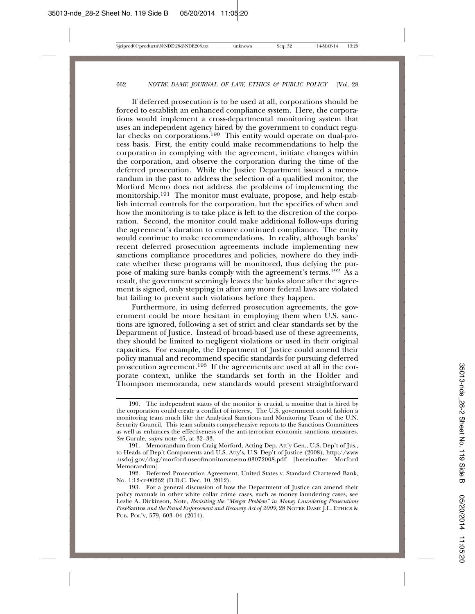If deferred prosecution is to be used at all, corporations should be forced to establish an enhanced compliance system. Here, the corporations would implement a cross-departmental monitoring system that uses an independent agency hired by the government to conduct regular checks on corporations.<sup>190</sup> This entity would operate on dual-process basis. First, the entity could make recommendations to help the corporation in complying with the agreement, initiate changes within the corporation, and observe the corporation during the time of the deferred prosecution. While the Justice Department issued a memorandum in the past to address the selection of a qualified monitor, the Morford Memo does not address the problems of implementing the monitorship.<sup>191</sup> The monitor must evaluate, propose, and help establish internal controls for the corporation, but the specifics of when and how the monitoring is to take place is left to the discretion of the corporation. Second, the monitor could make additional follow-ups during the agreement's duration to ensure continued compliance. The entity would continue to make recommendations. In reality, although banks' recent deferred prosecution agreements include implementing new sanctions compliance procedures and policies, nowhere do they indicate whether these programs will be monitored, thus defying the purpose of making sure banks comply with the agreement's terms.192 As a result, the government seemingly leaves the banks alone after the agreement is signed, only stepping in after any more federal laws are violated but failing to prevent such violations before they happen.

Furthermore, in using deferred prosecution agreements, the government could be more hesitant in employing them when U.S. sanctions are ignored, following a set of strict and clear standards set by the Department of Justice. Instead of broad-based use of these agreements, they should be limited to negligent violations or used in their original capacities. For example, the Department of Justice could amend their policy manual and recommend specific standards for pursuing deferred prosecution agreement.193 If the agreements are used at all in the corporate context, unlike the standards set forth in the Holder and Thompson memoranda, new standards would present straightforward

192. Deferred Prosecution Agreement, United States v. Standard Chartered Bank, No. 1:12-cr-00262 (D.D.C. Dec. 10, 2012).

<sup>190.</sup> The independent status of the monitor is crucial, a monitor that is hired by the corporation could create a conflict of interest. The U.S. government could fashion a monitoring team much like the Analytical Sanctions and Monitoring Team of the U.N. Security Council. This team submits comprehensive reports to the Sanctions Committees as well as enhances the effectiveness of the anti-terrorism economic sanctions measures. *See* Gurule,´ *supra* note 45, at 32–33.

<sup>191.</sup> Memorandum from Craig Morford, Acting Dep. Att'y Gen., U.S. Dep't of Jus., to Heads of Dep't Components and U.S. Atty's, U.S. Dep't of Justice (2008), http://www .usdoj.gov/dag/morford-useofmonitorsmemo-03072008.pdf [hereinafter Morford Memorandum].

<sup>193.</sup> For a general discussion of how the Department of Justice can amend their policy manuals in other white collar crime cases, such as money laundering cases, see Leslie A. Dickinson, Note, *Revisiting the "Merger Problem" in Money Laundering Prosecutions Post-*Santos *and the Fraud Enforcement and Recovery Act of 2009*, 28 NOTRE DAME J.L. ETHICS & PUB. POL'Y, 579, 603–04 (2014).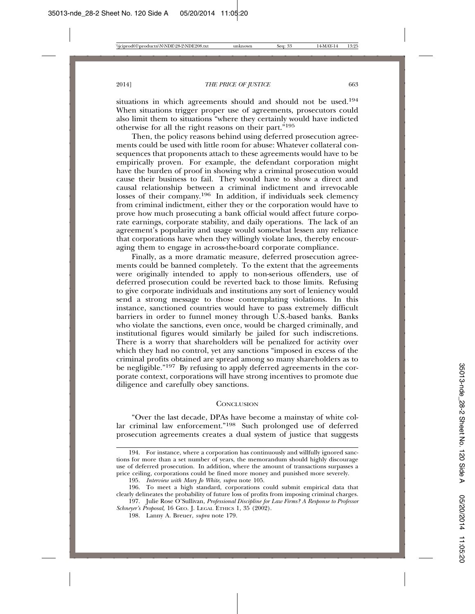situations in which agreements should and should not be used.<sup>194</sup> When situations trigger proper use of agreements, prosecutors could also limit them to situations "where they certainly would have indicted otherwise for all the right reasons on their part."195

Then, the policy reasons behind using deferred prosecution agreements could be used with little room for abuse: Whatever collateral consequences that proponents attach to these agreements would have to be empirically proven. For example, the defendant corporation might have the burden of proof in showing why a criminal prosecution would cause their business to fail. They would have to show a direct and causal relationship between a criminal indictment and irrevocable losses of their company.<sup>196</sup> In addition, if individuals seek clemency from criminal indictment, either they or the corporation would have to prove how much prosecuting a bank official would affect future corporate earnings, corporate stability, and daily operations. The lack of an agreement's popularity and usage would somewhat lessen any reliance that corporations have when they willingly violate laws, thereby encouraging them to engage in across-the-board corporate compliance.

Finally, as a more dramatic measure, deferred prosecution agreements could be banned completely. To the extent that the agreements were originally intended to apply to non-serious offenders, use of deferred prosecution could be reverted back to those limits. Refusing to give corporate individuals and institutions any sort of leniency would send a strong message to those contemplating violations. In this instance, sanctioned countries would have to pass extremely difficult barriers in order to funnel money through U.S.-based banks. Banks who violate the sanctions, even once, would be charged criminally, and institutional figures would similarly be jailed for such indiscretions. There is a worry that shareholders will be penalized for activity over which they had no control, yet any sanctions "imposed in excess of the criminal profits obtained are spread among so many shareholders as to be negligible."<sup>197</sup> By refusing to apply deferred agreements in the corporate context, corporations will have strong incentives to promote due diligence and carefully obey sanctions.

#### **CONCLUSION**

"Over the last decade, DPAs have become a mainstay of white collar criminal law enforcement."198 Such prolonged use of deferred prosecution agreements creates a dual system of justice that suggests

<sup>194.</sup> For instance, where a corporation has continuously and willfully ignored sanctions for more than a set number of years, the memorandum should highly discourage use of deferred prosecution. In addition, where the amount of transactions surpasses a price ceiling, corporations could be fined more money and punished more severely.

<sup>195.</sup> *Interview with Mary Jo White*, *supra* note 105.

<sup>196.</sup> To meet a high standard, corporations could submit empirical data that clearly delineates the probability of future loss of profits from imposing criminal charges.

<sup>197.</sup> Julie Rose O'Sullivan, *Professional Discipline for Law Firms? A Response to Professor Schneyer's Proposal,* 16 GEO. J. LEGAL ETHICS 1, 35 (2002).

<sup>198.</sup> Lanny A. Breuer, *supra* note 179.